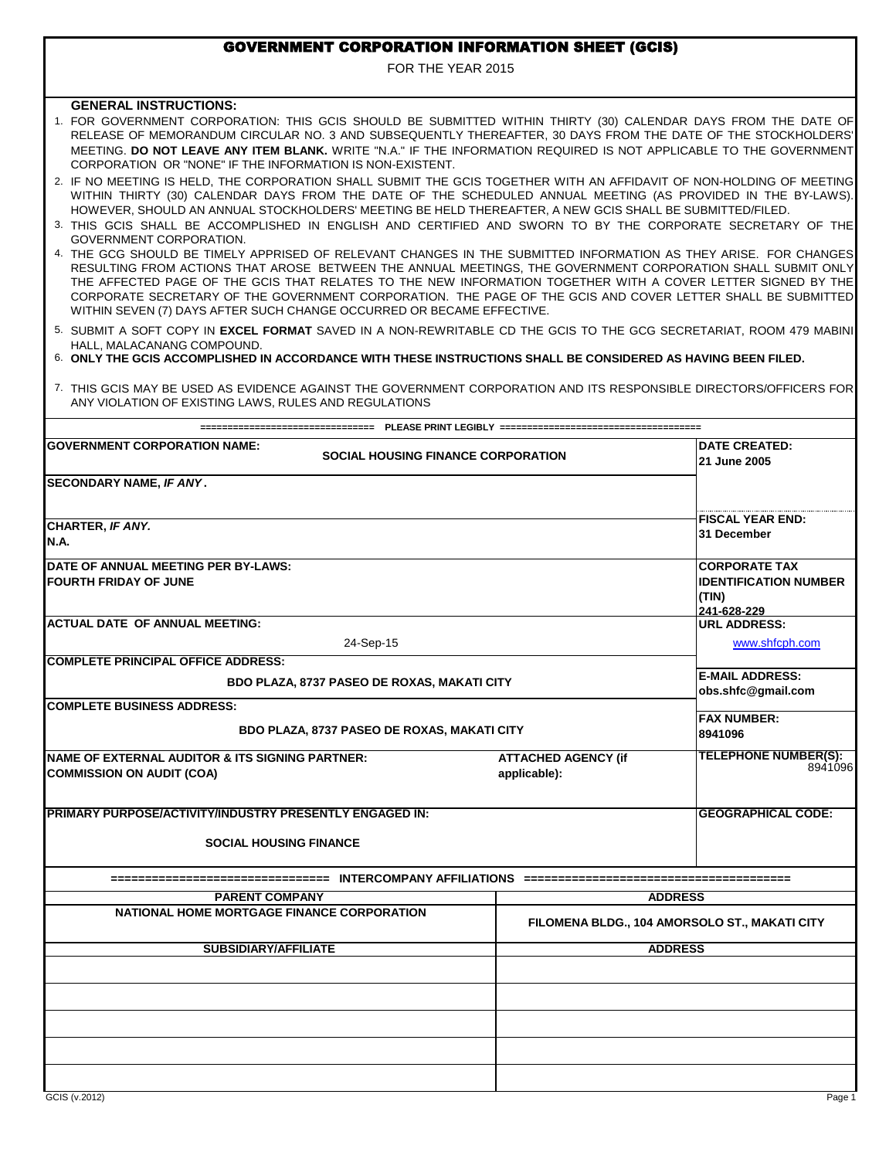FOR THE YEAR 2015

|             | <b>GENERAL INSTRUCTIONS:</b>                                                                                                                                                                                                                                                                                                                                                                                                                                                                                                                                         |                                               |                                                                              |  |  |  |  |  |  |
|-------------|----------------------------------------------------------------------------------------------------------------------------------------------------------------------------------------------------------------------------------------------------------------------------------------------------------------------------------------------------------------------------------------------------------------------------------------------------------------------------------------------------------------------------------------------------------------------|-----------------------------------------------|------------------------------------------------------------------------------|--|--|--|--|--|--|
|             | 1. FOR GOVERNMENT CORPORATION: THIS GCIS SHOULD BE SUBMITTED WITHIN THIRTY (30) CALENDAR DAYS FROM THE DATE OF<br>RELEASE OF MEMORANDUM CIRCULAR NO. 3 AND SUBSEQUENTLY THEREAFTER, 30 DAYS FROM THE DATE OF THE STOCKHOLDERS'<br>MEETING. DO NOT LEAVE ANY ITEM BLANK. WRITE "N.A." IF THE INFORMATION REQUIRED IS NOT APPLICABLE TO THE GOVERNMENT<br>CORPORATION OR "NONE" IF THE INFORMATION IS NON-EXISTENT.                                                                                                                                                    |                                               |                                                                              |  |  |  |  |  |  |
|             | 2. IF NO MEETING IS HELD. THE CORPORATION SHALL SUBMIT THE GCIS TOGETHER WITH AN AFFIDAVIT OF NON-HOLDING OF MEETING<br>WITHIN THIRTY (30) CALENDAR DAYS FROM THE DATE OF THE SCHEDULED ANNUAL MEETING (AS PROVIDED IN THE BY-LAWS).<br>HOWEVER, SHOULD AN ANNUAL STOCKHOLDERS' MEETING BE HELD THEREAFTER, A NEW GCIS SHALL BE SUBMITTED/FILED.<br>3. THIS GCIS SHALL BE ACCOMPLISHED IN ENGLISH AND CERTIFIED AND SWORN TO BY THE CORPORATE SECRETARY OF THE                                                                                                       |                                               |                                                                              |  |  |  |  |  |  |
|             | GOVERNMENT CORPORATION.<br>4. THE GCG SHOULD BE TIMELY APPRISED OF RELEVANT CHANGES IN THE SUBMITTED INFORMATION AS THEY ARISE. FOR CHANGES<br>RESULTING FROM ACTIONS THAT AROSE BETWEEN THE ANNUAL MEETINGS, THE GOVERNMENT CORPORATION SHALL SUBMIT ONLY<br>THE AFFECTED PAGE OF THE GCIS THAT RELATES TO THE NEW INFORMATION TOGETHER WITH A COVER LETTER SIGNED BY THE I<br>CORPORATE SECRETARY OF THE GOVERNMENT CORPORATION. THE PAGE OF THE GCIS AND COVER LETTER SHALL BE SUBMITTED<br>WITHIN SEVEN (7) DAYS AFTER SUCH CHANGE OCCURRED OR BECAME EFFECTIVE. |                                               |                                                                              |  |  |  |  |  |  |
|             | 5. SUBMIT A SOFT COPY IN EXCEL FORMAT SAVED IN A NON-REWRITABLE CD THE GCIS TO THE GCG SECRETARIAT, ROOM 479 MABINI<br>HALL, MALACANANG COMPOUND.<br>6. ONLY THE GCIS ACCOMPLISHED IN ACCORDANCE WITH THESE INSTRUCTIONS SHALL BE CONSIDERED AS HAVING BEEN FILED.                                                                                                                                                                                                                                                                                                   |                                               |                                                                              |  |  |  |  |  |  |
|             | 7. THIS GCIS MAY BE USED AS EVIDENCE AGAINST THE GOVERNMENT CORPORATION AND ITS RESPONSIBLE DIRECTORS/OFFICERS FOR<br>ANY VIOLATION OF EXISTING LAWS, RULES AND REGULATIONS                                                                                                                                                                                                                                                                                                                                                                                          |                                               |                                                                              |  |  |  |  |  |  |
|             | ====================       PLEASE PRINT LEGIBLY  ========                                                                                                                                                                                                                                                                                                                                                                                                                                                                                                            |                                               |                                                                              |  |  |  |  |  |  |
|             | <b>GOVERNMENT CORPORATION NAME:</b><br><b>SOCIAL HOUSING FINANCE CORPORATION</b>                                                                                                                                                                                                                                                                                                                                                                                                                                                                                     |                                               | <b>DATE CREATED:</b><br>21 June 2005                                         |  |  |  |  |  |  |
|             | SECONDARY NAME, IF ANY.                                                                                                                                                                                                                                                                                                                                                                                                                                                                                                                                              |                                               |                                                                              |  |  |  |  |  |  |
| <b>N.A.</b> | CHARTER, IF ANY.                                                                                                                                                                                                                                                                                                                                                                                                                                                                                                                                                     |                                               | <b>FISCAL YEAR END:</b><br>31 December                                       |  |  |  |  |  |  |
|             | DATE OF ANNUAL MEETING PER BY-LAWS:<br><b>FOURTH FRIDAY OF JUNE</b>                                                                                                                                                                                                                                                                                                                                                                                                                                                                                                  |                                               | <b>CORPORATE TAX</b><br><b>IDENTIFICATION NUMBER</b><br>(TIN)<br>241-628-229 |  |  |  |  |  |  |
|             | <b>ACTUAL DATE OF ANNUAL MEETING:</b>                                                                                                                                                                                                                                                                                                                                                                                                                                                                                                                                |                                               | <b>URL ADDRESS:</b>                                                          |  |  |  |  |  |  |
|             | 24-Sep-15<br><b>COMPLETE PRINCIPAL OFFICE ADDRESS:</b>                                                                                                                                                                                                                                                                                                                                                                                                                                                                                                               |                                               | www.shfcph.com                                                               |  |  |  |  |  |  |
|             | BDO PLAZA, 8737 PASEO DE ROXAS, MAKATI CITY                                                                                                                                                                                                                                                                                                                                                                                                                                                                                                                          |                                               | <b>E-MAIL ADDRESS:</b><br>obs.shfc@qmail.com                                 |  |  |  |  |  |  |
|             | <b>COMPLETE BUSINESS ADDRESS:</b><br><b>BDO PLAZA, 8737 PASEO DE ROXAS, MAKATI CITY</b>                                                                                                                                                                                                                                                                                                                                                                                                                                                                              |                                               | <b>FAX NUMBER:</b><br>8941096                                                |  |  |  |  |  |  |
|             | <b>NAME OF EXTERNAL AUDITOR &amp; ITS SIGNING PARTNER:</b><br><b>COMMISSION ON AUDIT (COA)</b>                                                                                                                                                                                                                                                                                                                                                                                                                                                                       | <b>ATTACHED AGENCY (if</b><br>applicable):    | <b>TELEPHONE NUMBER(S):</b><br>8941096                                       |  |  |  |  |  |  |
|             | PRIMARY PURPOSE/ACTIVITY/INDUSTRY PRESENTLY ENGAGED IN:                                                                                                                                                                                                                                                                                                                                                                                                                                                                                                              |                                               | <b>GEOGRAPHICAL CODE:</b>                                                    |  |  |  |  |  |  |
|             | <b>SOCIAL HOUSING FINANCE</b>                                                                                                                                                                                                                                                                                                                                                                                                                                                                                                                                        |                                               |                                                                              |  |  |  |  |  |  |
|             | ============ INTERCOMPANY                                   AFFILIATIONS ==========                                                                                                                                                                                                                                                                                                                                                                                                                                                                                  |                                               |                                                                              |  |  |  |  |  |  |
|             | <b>PARENT COMPANY</b>                                                                                                                                                                                                                                                                                                                                                                                                                                                                                                                                                | <b>ADDRESS</b>                                |                                                                              |  |  |  |  |  |  |
|             | NATIONAL HOME MORTGAGE FINANCE CORPORATION                                                                                                                                                                                                                                                                                                                                                                                                                                                                                                                           | FILOMENA BLDG., 104 AMORSOLO ST., MAKATI CITY |                                                                              |  |  |  |  |  |  |
|             | <b>SUBSIDIARY/AFFILIATE</b>                                                                                                                                                                                                                                                                                                                                                                                                                                                                                                                                          | <b>ADDRESS</b>                                |                                                                              |  |  |  |  |  |  |
|             |                                                                                                                                                                                                                                                                                                                                                                                                                                                                                                                                                                      |                                               |                                                                              |  |  |  |  |  |  |
|             |                                                                                                                                                                                                                                                                                                                                                                                                                                                                                                                                                                      |                                               |                                                                              |  |  |  |  |  |  |
|             |                                                                                                                                                                                                                                                                                                                                                                                                                                                                                                                                                                      |                                               |                                                                              |  |  |  |  |  |  |
|             |                                                                                                                                                                                                                                                                                                                                                                                                                                                                                                                                                                      |                                               |                                                                              |  |  |  |  |  |  |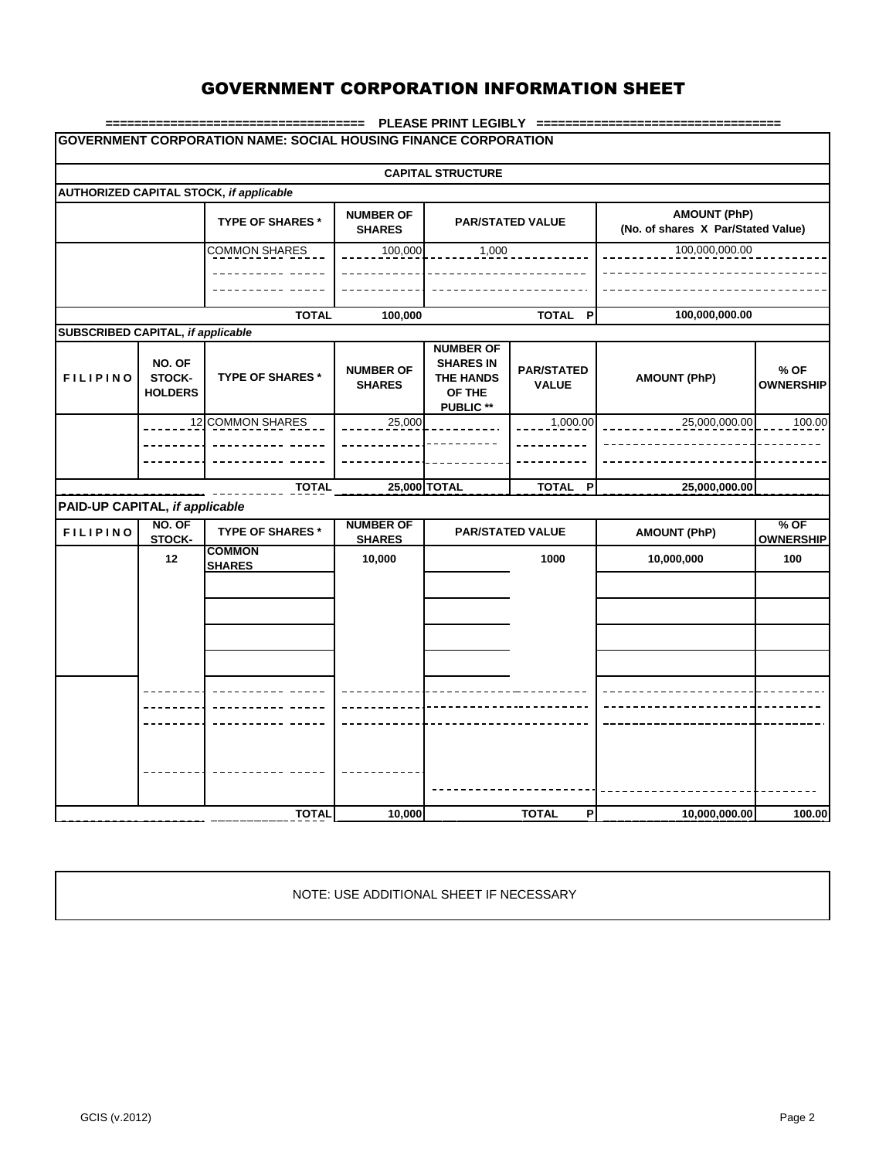|                                   |                                                                                                                                                     | <b>GOVERNMENT CORPORATION NAME: SOCIAL HOUSING FINANCE CORPORATION</b> |                                   |                                                                                 |                                   |                     |                          |  |  |  |
|-----------------------------------|-----------------------------------------------------------------------------------------------------------------------------------------------------|------------------------------------------------------------------------|-----------------------------------|---------------------------------------------------------------------------------|-----------------------------------|---------------------|--------------------------|--|--|--|
|                                   |                                                                                                                                                     |                                                                        |                                   | <b>CAPITAL STRUCTURE</b>                                                        |                                   |                     |                          |  |  |  |
|                                   |                                                                                                                                                     | AUTHORIZED CAPITAL STOCK, if applicable                                |                                   |                                                                                 |                                   |                     |                          |  |  |  |
|                                   | <b>AMOUNT (PhP)</b><br><b>NUMBER OF</b><br><b>TYPE OF SHARES*</b><br><b>PAR/STATED VALUE</b><br>(No. of shares X Par/Stated Value)<br><b>SHARES</b> |                                                                        |                                   |                                                                                 |                                   |                     |                          |  |  |  |
|                                   |                                                                                                                                                     | <b>COMMON SHARES</b>                                                   | 100,000                           | 1,000                                                                           |                                   | 100,000,000.00      |                          |  |  |  |
|                                   |                                                                                                                                                     |                                                                        |                                   |                                                                                 |                                   |                     |                          |  |  |  |
|                                   |                                                                                                                                                     | <b>TOTAL</b>                                                           | 100,000                           |                                                                                 | <b>TOTAL</b><br>P                 | 100,000,000.00      |                          |  |  |  |
| SUBSCRIBED CAPITAL, if applicable |                                                                                                                                                     |                                                                        |                                   |                                                                                 |                                   |                     |                          |  |  |  |
| <b>FILIPINO</b>                   | NO. OF<br>STOCK-<br><b>HOLDERS</b>                                                                                                                  | <b>TYPE OF SHARES *</b>                                                | <b>NUMBER OF</b><br><b>SHARES</b> | <b>NUMBER OF</b><br><b>SHARES IN</b><br><b>THE HANDS</b><br>OF THE<br>PUBLIC ** | <b>PAR/STATED</b><br><b>VALUE</b> | <b>AMOUNT (PhP)</b> | % OF<br><b>OWNERSHIP</b> |  |  |  |
|                                   |                                                                                                                                                     | 12 COMMON SHARES                                                       | 25,000                            |                                                                                 | 1,000.00                          | 25,000,000.00       | 100.00                   |  |  |  |
|                                   |                                                                                                                                                     |                                                                        |                                   |                                                                                 |                                   |                     |                          |  |  |  |
|                                   |                                                                                                                                                     |                                                                        |                                   |                                                                                 |                                   |                     |                          |  |  |  |
|                                   |                                                                                                                                                     | <b>TOTAL</b>                                                           | 25,000 TOTAL                      |                                                                                 | TOTAL P                           | 25,000,000.00       |                          |  |  |  |
| PAID-UP CAPITAL, if applicable    |                                                                                                                                                     |                                                                        |                                   |                                                                                 |                                   |                     |                          |  |  |  |
|                                   | NO. OF                                                                                                                                              |                                                                        | <b>NUMBER OF</b>                  |                                                                                 |                                   |                     | $%$ OF                   |  |  |  |
| <b>FILIPINO</b>                   | STOCK-                                                                                                                                              | <b>TYPE OF SHARES*</b>                                                 | <b>SHARES</b>                     |                                                                                 | <b>PAR/STATED VALUE</b>           | <b>AMOUNT (PhP)</b> | <b>OWNERSHIP</b>         |  |  |  |
|                                   | 12                                                                                                                                                  | <b>COMMON</b><br><b>SHARES</b>                                         | 10,000                            |                                                                                 | 1000                              | 10,000,000          | 100                      |  |  |  |
|                                   |                                                                                                                                                     |                                                                        |                                   |                                                                                 |                                   |                     |                          |  |  |  |
|                                   |                                                                                                                                                     |                                                                        |                                   |                                                                                 |                                   |                     |                          |  |  |  |
|                                   |                                                                                                                                                     |                                                                        |                                   |                                                                                 |                                   |                     |                          |  |  |  |
|                                   |                                                                                                                                                     |                                                                        |                                   |                                                                                 |                                   |                     |                          |  |  |  |
|                                   |                                                                                                                                                     |                                                                        |                                   |                                                                                 |                                   |                     |                          |  |  |  |
|                                   |                                                                                                                                                     |                                                                        |                                   |                                                                                 |                                   |                     |                          |  |  |  |
|                                   |                                                                                                                                                     |                                                                        |                                   |                                                                                 |                                   |                     |                          |  |  |  |
|                                   |                                                                                                                                                     |                                                                        |                                   |                                                                                 |                                   |                     |                          |  |  |  |
|                                   |                                                                                                                                                     |                                                                        |                                   |                                                                                 |                                   |                     |                          |  |  |  |
|                                   |                                                                                                                                                     |                                                                        |                                   |                                                                                 |                                   |                     |                          |  |  |  |
|                                   |                                                                                                                                                     |                                                                        |                                   |                                                                                 |                                   |                     |                          |  |  |  |
|                                   |                                                                                                                                                     | <b>TOTAL</b>                                                           | 10,000                            |                                                                                 | <b>TOTAL</b><br>P                 | 10,000,000.00       | 100.00                   |  |  |  |

NOTE: USE ADDITIONAL SHEET IF NECESSARY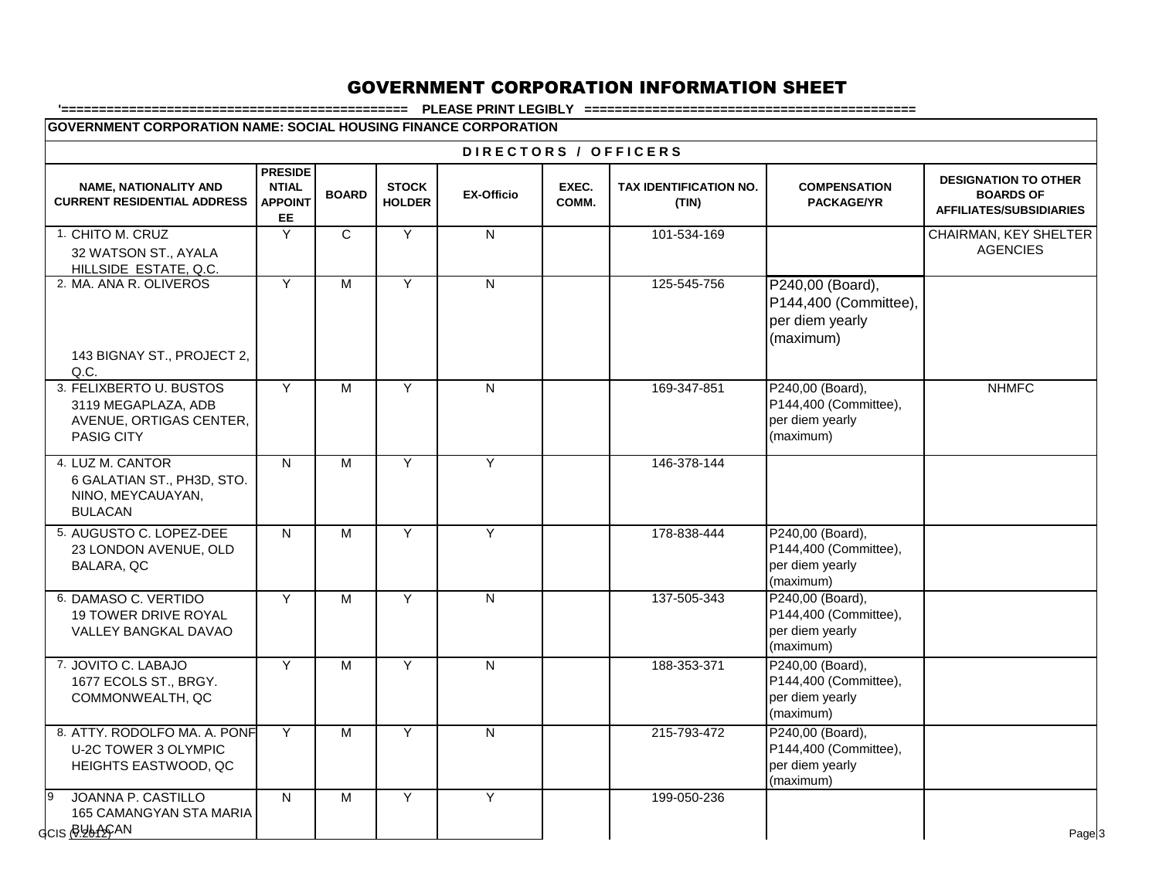**'============================================== PLEASE PRINT LEGIBLY ============================================**

**GOVERNMENT CORPORATION NAME: SOCIAL HOUSING FINANCE CORPORATION**

| DIRECTORS / OFFICERS                                                                    |                                                        |                |                               |                         |                |                                 |                                                                           |                                                                                   |  |  |
|-----------------------------------------------------------------------------------------|--------------------------------------------------------|----------------|-------------------------------|-------------------------|----------------|---------------------------------|---------------------------------------------------------------------------|-----------------------------------------------------------------------------------|--|--|
| <b>NAME, NATIONALITY AND</b><br><b>CURRENT RESIDENTIAL ADDRESS</b>                      | <b>PRESIDE</b><br><b>NTIAL</b><br><b>APPOINT</b><br>EE | <b>BOARD</b>   | <b>STOCK</b><br><b>HOLDER</b> | <b>EX-Officio</b>       | EXEC.<br>COMM. | TAX IDENTIFICATION NO.<br>(TIN) | <b>COMPENSATION</b><br><b>PACKAGE/YR</b>                                  | <b>DESIGNATION TO OTHER</b><br><b>BOARDS OF</b><br><b>AFFILIATES/SUBSIDIARIES</b> |  |  |
| 1. CHITO M. CRUZ<br>32 WATSON ST., AYALA<br>HILLSIDE ESTATE, Q.C.                       | Y                                                      | $\mathsf{C}$   | Y                             | $\overline{\mathsf{N}}$ |                | 101-534-169                     |                                                                           | <b>CHAIRMAN, KEY SHELTER</b><br><b>AGENCIES</b>                                   |  |  |
| 2. MA. ANA R. OLIVEROS<br>143 BIGNAY ST., PROJECT 2,<br>Q.C.                            | $\overline{Y}$                                         | M              | Y                             | $\overline{N}$          |                | 125-545-756                     | P240,00 (Board),<br>P144,400 (Committee),<br>per diem yearly<br>(maximum) |                                                                                   |  |  |
| 3. FELIXBERTO U. BUSTOS<br>3119 MEGAPLAZA, ADB<br>AVENUE, ORTIGAS CENTER,<br>PASIG CITY | $\overline{Y}$                                         | $\overline{M}$ | Y                             | $\overline{\mathsf{N}}$ |                | 169-347-851                     | P240,00 (Board),<br>P144,400 (Committee),<br>per diem yearly<br>(maximum) | <b>NHMFC</b>                                                                      |  |  |
| 4. LUZ M. CANTOR<br>6 GALATIAN ST., PH3D, STO.<br>NINO, MEYCAUAYAN,<br><b>BULACAN</b>   | N                                                      | M              | Y                             | Y                       |                | 146-378-144                     |                                                                           |                                                                                   |  |  |
| 5. AUGUSTO C. LOPEZ-DEE<br>23 LONDON AVENUE, OLD<br>BALARA, QC                          | $\overline{N}$                                         | M              | Y                             | Y                       |                | 178-838-444                     | P240,00 (Board),<br>P144,400 (Committee),<br>per diem yearly<br>(maximum) |                                                                                   |  |  |
| 6. DAMASO C. VERTIDO<br>19 TOWER DRIVE ROYAL<br>VALLEY BANGKAL DAVAO                    | $\overline{Y}$                                         | M              | Y                             | $\mathsf{N}$            |                | 137-505-343                     | P240,00 (Board),<br>P144,400 (Committee),<br>per diem yearly<br>(maximum) |                                                                                   |  |  |
| 7. JOVITO C. LABAJO<br>1677 ECOLS ST., BRGY.<br>COMMONWEALTH, QC                        | Y                                                      | M              | Y                             | ${\sf N}$               |                | 188-353-371                     | P240,00 (Board),<br>P144,400 (Committee),<br>per diem yearly<br>(maximum) |                                                                                   |  |  |
| 8. ATTY. RODOLFO MA. A. PONF<br>U-2C TOWER 3 OLYMPIC<br>HEIGHTS EASTWOOD, QC            | $\overline{Y}$                                         | M              | $\overline{Y}$                | $\mathsf{N}$            |                | 215-793-472                     | P240,00 (Board),<br>P144,400 (Committee),<br>per diem yearly<br>(maximum) |                                                                                   |  |  |
| 9<br>JOANNA P. CASTILLO<br>165 CAMANGYAN STA MARIA<br>dcıs <u>RY</u> IAÇAN              | $\overline{N}$                                         | M              | Y                             | Y                       |                | 199-050-236                     |                                                                           | Page <sup>3</sup>                                                                 |  |  |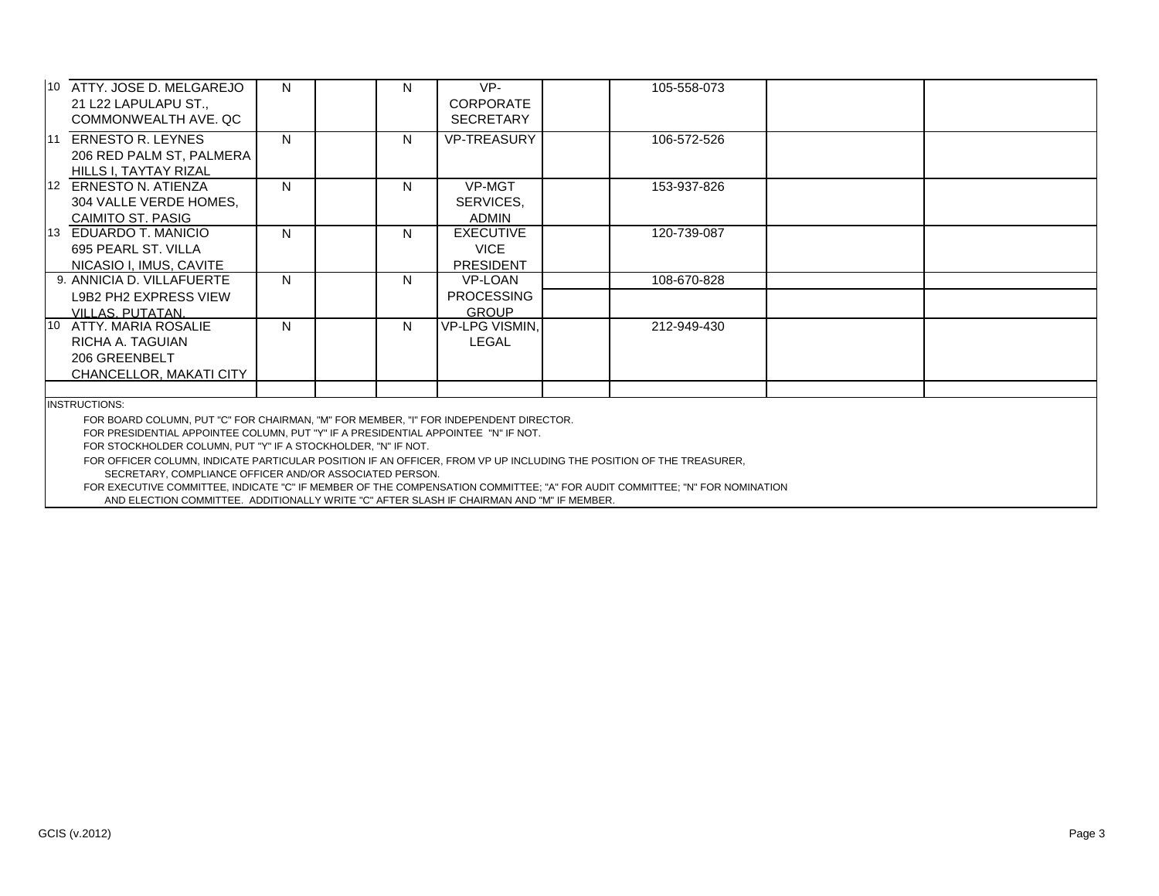|            | 10 ATTY, JOSE D. MELGAREJO<br>21 L22 LAPULAPU ST.,<br>COMMONWEALTH AVE, QC                                                                                                                                                                                           | N. |  | N | VP-<br>CORPORATE<br><b>SECRETARY</b>                | 105-558-073 |  |  |  |
|------------|----------------------------------------------------------------------------------------------------------------------------------------------------------------------------------------------------------------------------------------------------------------------|----|--|---|-----------------------------------------------------|-------------|--|--|--|
| <b>111</b> | <b>ERNESTO R. LEYNES</b><br>206 RED PALM ST, PALMERA<br>HILLS I, TAYTAY RIZAL                                                                                                                                                                                        | N. |  | N | <b>VP-TREASURY</b>                                  | 106-572-526 |  |  |  |
|            | 12 ERNESTO N. ATIENZA<br>304 VALLE VERDE HOMES,<br>CAIMITO ST. PASIG                                                                                                                                                                                                 | N. |  | N | VP-MGT<br>SERVICES.<br><b>ADMIN</b>                 | 153-937-826 |  |  |  |
| I13        | EDUARDO T. MANICIO<br>695 PEARL ST. VILLA<br>NICASIO I, IMUS, CAVITE                                                                                                                                                                                                 | N  |  | N | <b>EXECUTIVE</b><br><b>VICE</b><br><b>PRESIDENT</b> | 120-739-087 |  |  |  |
|            | 9. ANNICIA D. VILLAFUERTE<br>L9B2 PH2 EXPRESS VIEW<br>VILLAS, PUTATAN.                                                                                                                                                                                               | N. |  | N | <b>VP-LOAN</b><br><b>PROCESSING</b><br><b>GROUP</b> | 108-670-828 |  |  |  |
| <b>10</b>  | ATTY. MARIA ROSALIE<br>RICHA A. TAGUIAN<br>206 GREENBELT<br>CHANCELLOR, MAKATI CITY                                                                                                                                                                                  | N  |  | N | <b>VP-LPG VISMIN.</b><br>LEGAL                      | 212-949-430 |  |  |  |
|            |                                                                                                                                                                                                                                                                      |    |  |   |                                                     |             |  |  |  |
|            | <b>INSTRUCTIONS:</b><br>FOR BOARD COLUMN, PUT "C" FOR CHAIRMAN, "M" FOR MEMBER, "I" FOR INDEPENDENT DIRECTOR.<br>FOR PRESIDENTIAL APPOINTEE COLUMN, PUT "Y" IF A PRESIDENTIAL APPOINTEE "N" IF NOT.<br>FOR STOCKHOLDER COLUMN. PUT "Y" IF A STOCKHOLDER. "N" IF NOT. |    |  |   |                                                     |             |  |  |  |

FOR OFFICER COLUMN, INDICATE PARTICULAR POSITION IF AN OFFICER, FROM VP UP INCLUDING THE POSITION OF THE TREASURER,

SECRETARY, COMPLIANCE OFFICER AND/OR ASSOCIATED PERSON.

FOR EXECUTIVE COMMITTEE, INDICATE "C" IF MEMBER OF THE COMPENSATION COMMITTEE; "A" FOR AUDIT COMMITTEE; "N" FOR NOMINATION

AND ELECTION COMMITTEE. ADDITIONALLY WRITE "C" AFTER SLASH IF CHAIRMAN AND "M" IF MEMBER.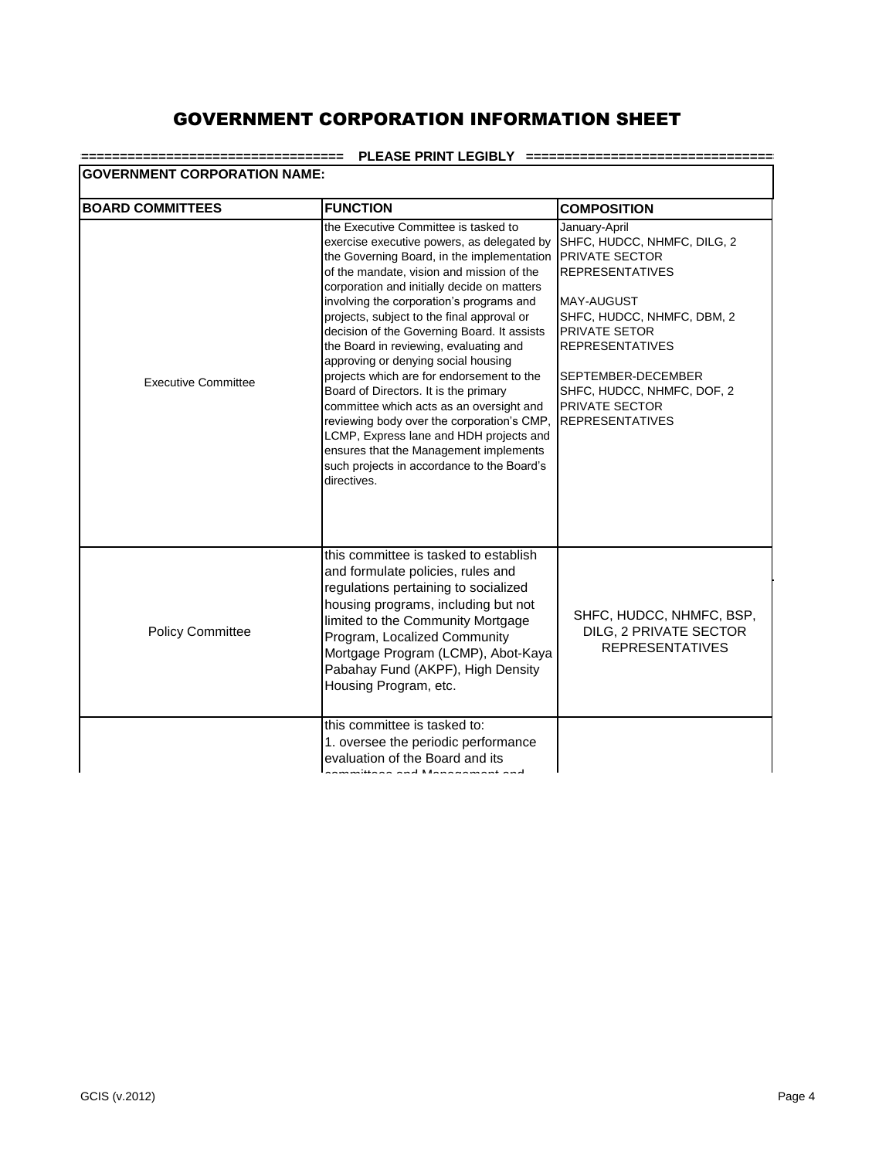**==================================== PLEASE PRINT LEGIBLY ==================================**

| <b>GOVERNMENT CORPORATION NAME:</b> |                                                                                                                                                                                                                                                                                                                                                                                                                                                                                                                                                                                                                                                                                                                                                                                          |                                                                                                                                                                                                                                                                                               |  |  |  |  |  |  |
|-------------------------------------|------------------------------------------------------------------------------------------------------------------------------------------------------------------------------------------------------------------------------------------------------------------------------------------------------------------------------------------------------------------------------------------------------------------------------------------------------------------------------------------------------------------------------------------------------------------------------------------------------------------------------------------------------------------------------------------------------------------------------------------------------------------------------------------|-----------------------------------------------------------------------------------------------------------------------------------------------------------------------------------------------------------------------------------------------------------------------------------------------|--|--|--|--|--|--|
| <b>BOARD COMMITTEES</b>             | <b>FUNCTION</b>                                                                                                                                                                                                                                                                                                                                                                                                                                                                                                                                                                                                                                                                                                                                                                          | <b>COMPOSITION</b>                                                                                                                                                                                                                                                                            |  |  |  |  |  |  |
| <b>Executive Committee</b>          | the Executive Committee is tasked to<br>exercise executive powers, as delegated by<br>the Governing Board, in the implementation<br>of the mandate, vision and mission of the<br>corporation and initially decide on matters<br>involving the corporation's programs and<br>projects, subject to the final approval or<br>decision of the Governing Board. It assists<br>the Board in reviewing, evaluating and<br>approving or denying social housing<br>projects which are for endorsement to the<br>Board of Directors. It is the primary<br>committee which acts as an oversight and<br>reviewing body over the corporation's CMP,<br>LCMP, Express lane and HDH projects and<br>ensures that the Management implements<br>such projects in accordance to the Board's<br>directives. | January-April<br>SHFC, HUDCC, NHMFC, DILG, 2<br><b>PRIVATE SECTOR</b><br><b>REPRESENTATIVES</b><br><b>MAY-AUGUST</b><br>SHFC, HUDCC, NHMFC, DBM, 2<br>PRIVATE SETOR<br><b>REPRESENTATIVES</b><br>SEPTEMBER-DECEMBER<br>SHFC, HUDCC, NHMFC, DOF, 2<br>PRIVATE SECTOR<br><b>REPRESENTATIVES</b> |  |  |  |  |  |  |
| <b>Policy Committee</b>             | this committee is tasked to establish<br>and formulate policies, rules and<br>regulations pertaining to socialized<br>housing programs, including but not<br>limited to the Community Mortgage<br>Program, Localized Community<br>Mortgage Program (LCMP), Abot-Kaya<br>Pabahay Fund (AKPF), High Density<br>Housing Program, etc.                                                                                                                                                                                                                                                                                                                                                                                                                                                       | SHFC, HUDCC, NHMFC, BSP,<br>DILG, 2 PRIVATE SECTOR<br><b>REPRESENTATIVES</b>                                                                                                                                                                                                                  |  |  |  |  |  |  |
|                                     | this committee is tasked to:<br>1. oversee the periodic performance<br>evaluation of the Board and its<br>المستمر فستمس مستمسم المساري المستمر والمستنقذ                                                                                                                                                                                                                                                                                                                                                                                                                                                                                                                                                                                                                                 |                                                                                                                                                                                                                                                                                               |  |  |  |  |  |  |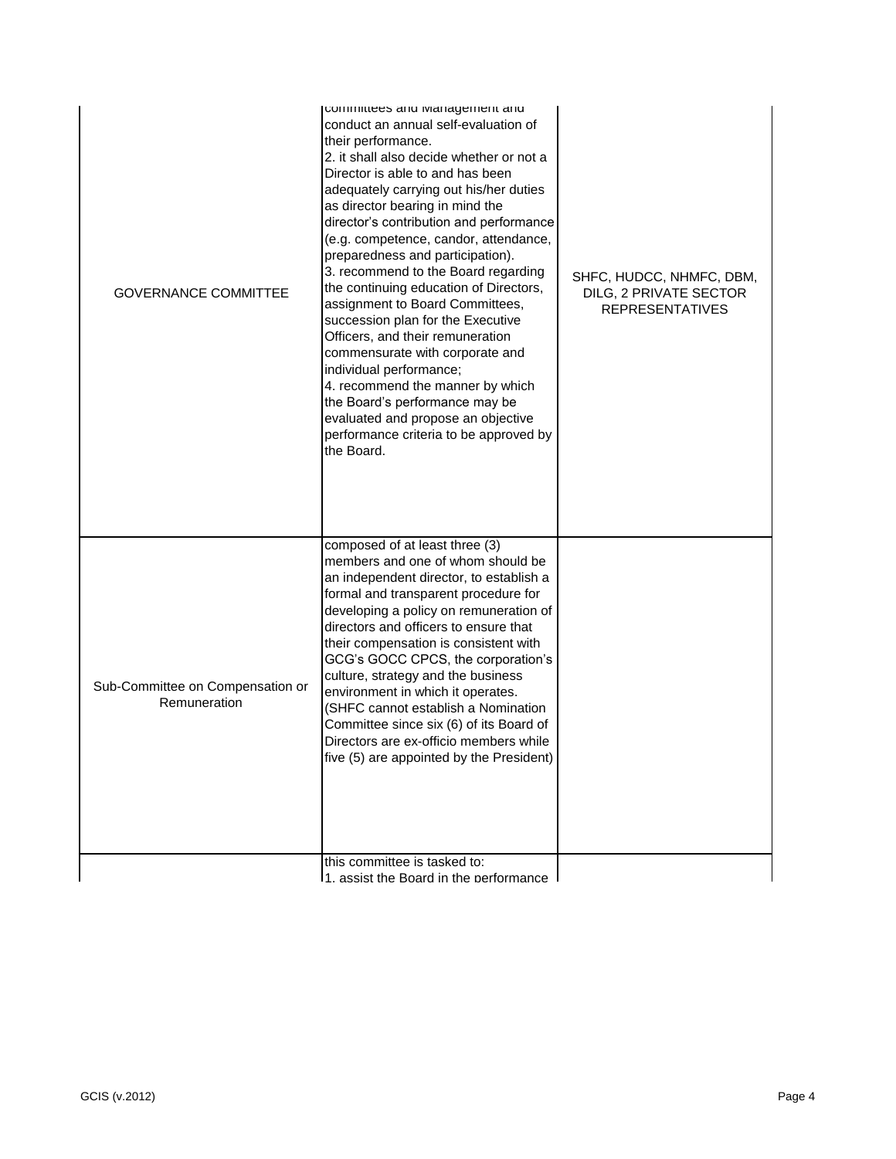| <b>GOVERNANCE COMMITTEE</b>                      | committees and ivianagement and<br>conduct an annual self-evaluation of<br>their performance.<br>2. it shall also decide whether or not a<br>Director is able to and has been<br>adequately carrying out his/her duties<br>as director bearing in mind the<br>director's contribution and performance<br>(e.g. competence, candor, attendance,<br>preparedness and participation).<br>3. recommend to the Board regarding<br>the continuing education of Directors,<br>assignment to Board Committees,<br>succession plan for the Executive<br>Officers, and their remuneration<br>commensurate with corporate and<br>individual performance;<br>4. recommend the manner by which<br>the Board's performance may be<br>evaluated and propose an objective<br>performance criteria to be approved by<br>the Board. | SHFC, HUDCC, NHMFC, DBM,<br>DILG, 2 PRIVATE SECTOR<br><b>REPRESENTATIVES</b> |
|--------------------------------------------------|-------------------------------------------------------------------------------------------------------------------------------------------------------------------------------------------------------------------------------------------------------------------------------------------------------------------------------------------------------------------------------------------------------------------------------------------------------------------------------------------------------------------------------------------------------------------------------------------------------------------------------------------------------------------------------------------------------------------------------------------------------------------------------------------------------------------|------------------------------------------------------------------------------|
| Sub-Committee on Compensation or<br>Remuneration | composed of at least three (3)<br>members and one of whom should be<br>an independent director, to establish a<br>formal and transparent procedure for<br>developing a policy on remuneration of<br>directors and officers to ensure that<br>their compensation is consistent with<br>GCG's GOCC CPCS, the corporation's<br>culture, strategy and the business<br>environment in which it operates.<br>(SHFC cannot establish a Nomination<br>Committee since six (6) of its Board of<br>Directors are ex-officio members while<br>five (5) are appointed by the President)<br>this committee is tasked to:                                                                                                                                                                                                       |                                                                              |
|                                                  | 1. assist the Board in the performance                                                                                                                                                                                                                                                                                                                                                                                                                                                                                                                                                                                                                                                                                                                                                                            |                                                                              |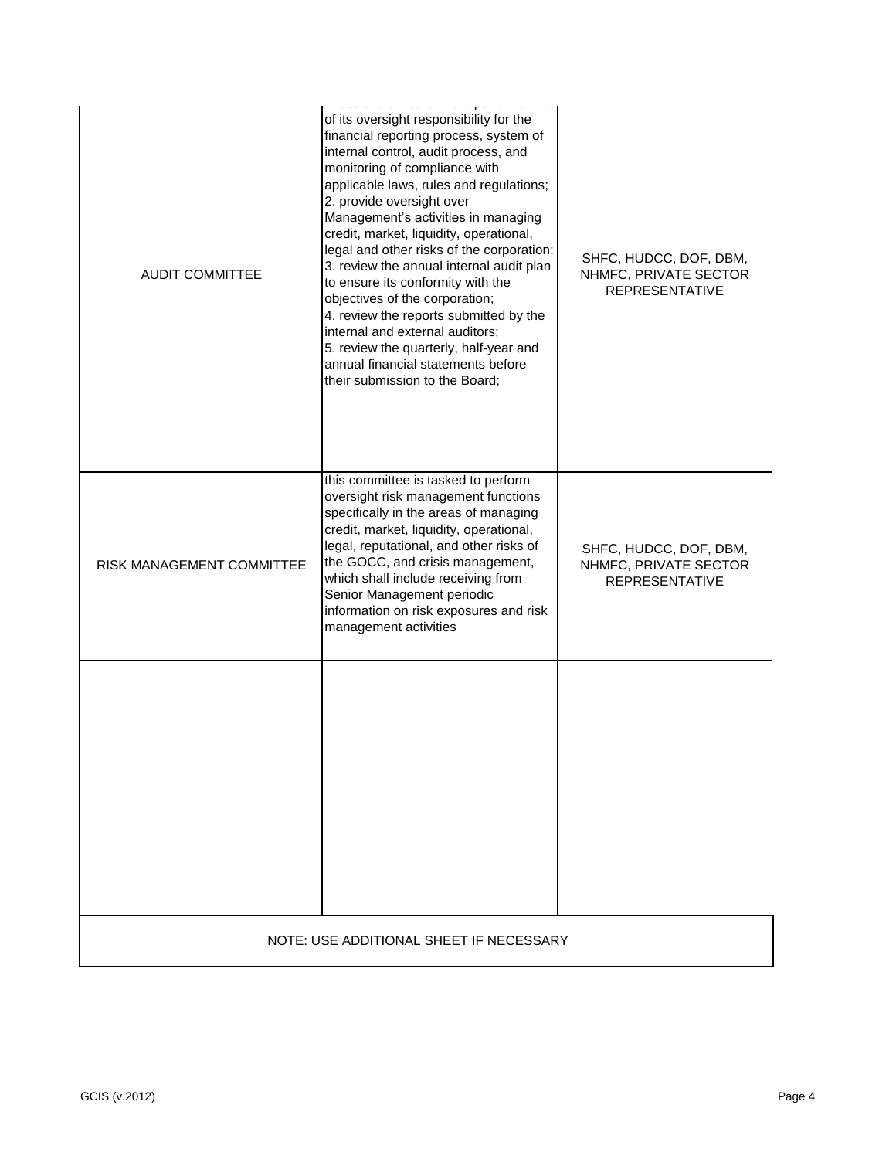| <b>AUDIT COMMITTEE</b>                  | woolds and woold and and policementou<br>of its oversight responsibility for the<br>financial reporting process, system of<br>internal control, audit process, and<br>monitoring of compliance with<br>applicable laws, rules and regulations;<br>2. provide oversight over<br>Management's activities in managing<br>credit, market, liquidity, operational,<br>legal and other risks of the corporation;<br>3. review the annual internal audit plan<br>to ensure its conformity with the<br>objectives of the corporation;<br>4. review the reports submitted by the<br>internal and external auditors;<br>5. review the quarterly, half-year and<br>annual financial statements before<br>their submission to the Board; | SHFC, HUDCC, DOF, DBM,<br>NHMFC, PRIVATE SECTOR<br><b>REPRESENTATIVE</b> |  |  |  |  |  |
|-----------------------------------------|------------------------------------------------------------------------------------------------------------------------------------------------------------------------------------------------------------------------------------------------------------------------------------------------------------------------------------------------------------------------------------------------------------------------------------------------------------------------------------------------------------------------------------------------------------------------------------------------------------------------------------------------------------------------------------------------------------------------------|--------------------------------------------------------------------------|--|--|--|--|--|
| RISK MANAGEMENT COMMITTEE               | this committee is tasked to perform<br>oversight risk management functions<br>specifically in the areas of managing<br>credit, market, liquidity, operational,<br>legal, reputational, and other risks of<br>the GOCC, and crisis management,<br>which shall include receiving from<br>Senior Management periodic<br>information on risk exposures and risk<br>management activities                                                                                                                                                                                                                                                                                                                                         | SHFC, HUDCC, DOF, DBM,<br>NHMFC, PRIVATE SECTOR<br><b>REPRESENTATIVE</b> |  |  |  |  |  |
|                                         |                                                                                                                                                                                                                                                                                                                                                                                                                                                                                                                                                                                                                                                                                                                              |                                                                          |  |  |  |  |  |
| NOTE: USE ADDITIONAL SHEET IF NECESSARY |                                                                                                                                                                                                                                                                                                                                                                                                                                                                                                                                                                                                                                                                                                                              |                                                                          |  |  |  |  |  |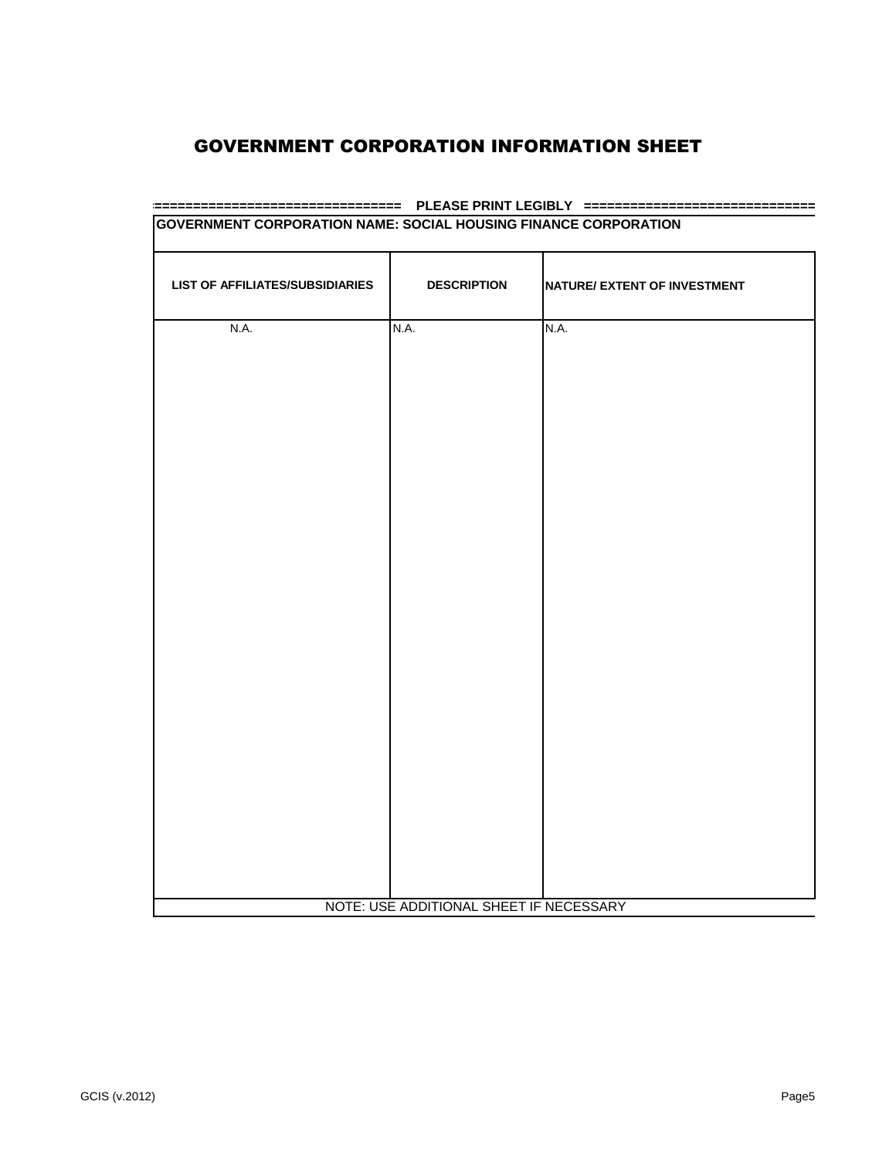| GOVERNMENT CORPORATION NAME: SOCIAL HOUSING FINANCE CORPORATION |                                         |                              |  |  |  |  |  |  |  |
|-----------------------------------------------------------------|-----------------------------------------|------------------------------|--|--|--|--|--|--|--|
|                                                                 |                                         |                              |  |  |  |  |  |  |  |
| <b>LIST OF AFFILIATES/SUBSIDIARIES</b>                          | <b>DESCRIPTION</b>                      | NATURE/ EXTENT OF INVESTMENT |  |  |  |  |  |  |  |
| N.A.                                                            | N.A.                                    | N.A.                         |  |  |  |  |  |  |  |
|                                                                 |                                         |                              |  |  |  |  |  |  |  |
|                                                                 |                                         |                              |  |  |  |  |  |  |  |
|                                                                 |                                         |                              |  |  |  |  |  |  |  |
|                                                                 |                                         |                              |  |  |  |  |  |  |  |
|                                                                 |                                         |                              |  |  |  |  |  |  |  |
|                                                                 |                                         |                              |  |  |  |  |  |  |  |
|                                                                 |                                         |                              |  |  |  |  |  |  |  |
|                                                                 |                                         |                              |  |  |  |  |  |  |  |
|                                                                 |                                         |                              |  |  |  |  |  |  |  |
|                                                                 |                                         |                              |  |  |  |  |  |  |  |
|                                                                 |                                         |                              |  |  |  |  |  |  |  |
|                                                                 | NOTE: USE ADDITIONAL SHEET IF NECESSARY |                              |  |  |  |  |  |  |  |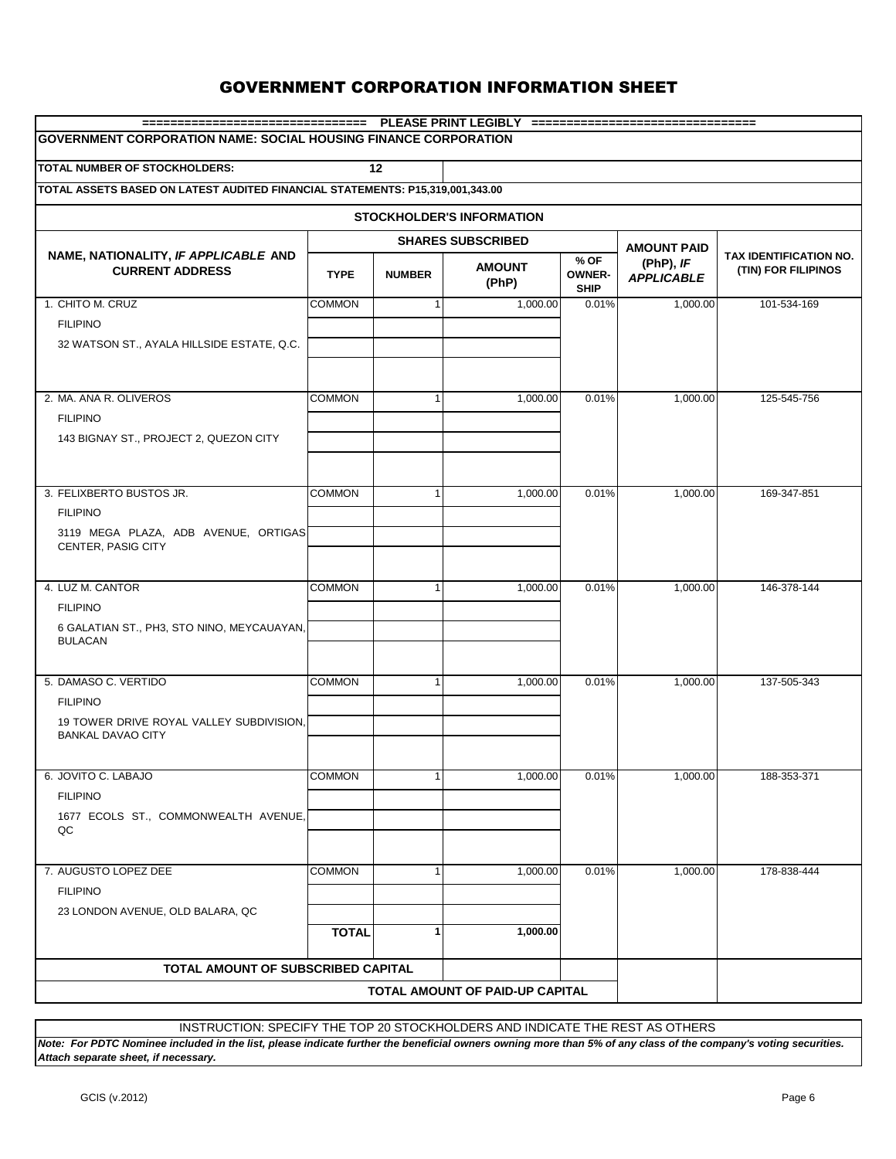| GOVERNMENT CORPORATION NAME: SOCIAL HOUSING FINANCE CORPORATION               |                              |              |                                                                |       |                                  |                                               |  |  |  |
|-------------------------------------------------------------------------------|------------------------------|--------------|----------------------------------------------------------------|-------|----------------------------------|-----------------------------------------------|--|--|--|
| <b>TOTAL NUMBER OF STOCKHOLDERS:</b>                                          |                              | 12           |                                                                |       |                                  |                                               |  |  |  |
| TOTAL ASSETS BASED ON LATEST AUDITED FINANCIAL STATEMENTS: P15,319,001,343.00 |                              |              |                                                                |       |                                  |                                               |  |  |  |
|                                                                               |                              |              | <b>STOCKHOLDER'S INFORMATION</b>                               |       |                                  |                                               |  |  |  |
|                                                                               | <b>AMOUNT PAID</b>           |              |                                                                |       |                                  |                                               |  |  |  |
| NAME, NATIONALITY, IF APPLICABLE AND<br><b>CURRENT ADDRESS</b>                | <b>TYPE</b><br><b>NUMBER</b> |              | % OF<br><b>AMOUNT</b><br><b>OWNER-</b><br>(PhP)<br><b>SHIP</b> |       | (PhP), $IF$<br><b>APPLICABLE</b> | TAX IDENTIFICATION NO.<br>(TIN) FOR FILIPINOS |  |  |  |
| 1. CHITO M. CRUZ                                                              | <b>COMMON</b>                | 1            | 1,000.00                                                       | 0.01% | 1,000.00                         | 101-534-169                                   |  |  |  |
| <b>FILIPINO</b>                                                               |                              |              |                                                                |       |                                  |                                               |  |  |  |
| 32 WATSON ST., AYALA HILLSIDE ESTATE, Q.C.                                    |                              |              |                                                                |       |                                  |                                               |  |  |  |
|                                                                               |                              |              |                                                                |       |                                  |                                               |  |  |  |
| 2. MA. ANA R. OLIVEROS                                                        | <b>COMMON</b>                | 1            | 1,000.00                                                       | 0.01% | 1,000.00                         | 125-545-756                                   |  |  |  |
| <b>FILIPINO</b>                                                               |                              |              |                                                                |       |                                  |                                               |  |  |  |
| 143 BIGNAY ST., PROJECT 2, QUEZON CITY                                        |                              |              |                                                                |       |                                  |                                               |  |  |  |
|                                                                               |                              |              |                                                                |       |                                  |                                               |  |  |  |
| 3. FELIXBERTO BUSTOS JR.                                                      | <b>COMMON</b>                | 1            | 1.000.00                                                       | 0.01% | 1,000.00                         | 169-347-851                                   |  |  |  |
| <b>FILIPINO</b>                                                               |                              |              |                                                                |       |                                  |                                               |  |  |  |
| 3119 MEGA PLAZA, ADB AVENUE, ORTIGAS                                          |                              |              |                                                                |       |                                  |                                               |  |  |  |
| CENTER, PASIG CITY                                                            |                              |              |                                                                |       |                                  |                                               |  |  |  |
|                                                                               |                              |              |                                                                |       |                                  |                                               |  |  |  |
| 4. LUZ M. CANTOR<br><b>FILIPINO</b>                                           | <b>COMMON</b>                |              | 1,000.00                                                       | 0.01% | 1,000.00                         | 146-378-144                                   |  |  |  |
| 6 GALATIAN ST., PH3, STO NINO, MEYCAUAYAN,                                    |                              |              |                                                                |       |                                  |                                               |  |  |  |
| <b>BULACAN</b>                                                                |                              |              |                                                                |       |                                  |                                               |  |  |  |
|                                                                               |                              |              |                                                                |       |                                  |                                               |  |  |  |
| 5. DAMASO C. VERTIDO                                                          | <b>COMMON</b>                | 1            | 1,000.00                                                       | 0.01% | 1,000.00                         | 137-505-343                                   |  |  |  |
| <b>FILIPINO</b>                                                               |                              |              |                                                                |       |                                  |                                               |  |  |  |
| 19 TOWER DRIVE ROYAL VALLEY SUBDIVISION,<br><b>BANKAL DAVAO CITY</b>          |                              |              |                                                                |       |                                  |                                               |  |  |  |
|                                                                               |                              |              |                                                                |       |                                  |                                               |  |  |  |
| 6. JOVITO C. LABAJO                                                           | <b>COMMON</b>                | $\mathbf{1}$ | 1,000.00                                                       | 0.01% | 1,000.00                         | 188-353-371                                   |  |  |  |
| <b>FILIPINO</b>                                                               |                              |              |                                                                |       |                                  |                                               |  |  |  |
| 1677 ECOLS ST., COMMONWEALTH AVENUE,<br>QC                                    |                              |              |                                                                |       |                                  |                                               |  |  |  |
|                                                                               |                              |              |                                                                |       |                                  |                                               |  |  |  |
| 7. AUGUSTO LOPEZ DEE                                                          | <b>COMMON</b>                |              | 1,000.00                                                       | 0.01% | 1,000.00                         | 178-838-444                                   |  |  |  |
| <b>FILIPINO</b>                                                               |                              |              |                                                                |       |                                  |                                               |  |  |  |
| 23 LONDON AVENUE, OLD BALARA, QC                                              |                              |              |                                                                |       |                                  |                                               |  |  |  |
|                                                                               | <b>TOTAL</b>                 |              | 1,000.00                                                       |       |                                  |                                               |  |  |  |
| TOTAL AMOUNT OF SUBSCRIBED CAPITAL                                            |                              |              |                                                                |       |                                  |                                               |  |  |  |
|                                                                               |                              |              | TOTAL AMOUNT OF PAID-UP CAPITAL                                |       |                                  |                                               |  |  |  |
|                                                                               |                              |              |                                                                |       |                                  |                                               |  |  |  |

INSTRUCTION: SPECIFY THE TOP 20 STOCKHOLDERS AND INDICATE THE REST AS OTHERS

*Note: For PDTC Nominee included in the list, please indicate further the beneficial owners owning more than 5% of any class of the company's voting securities. Attach separate sheet, if necessary.*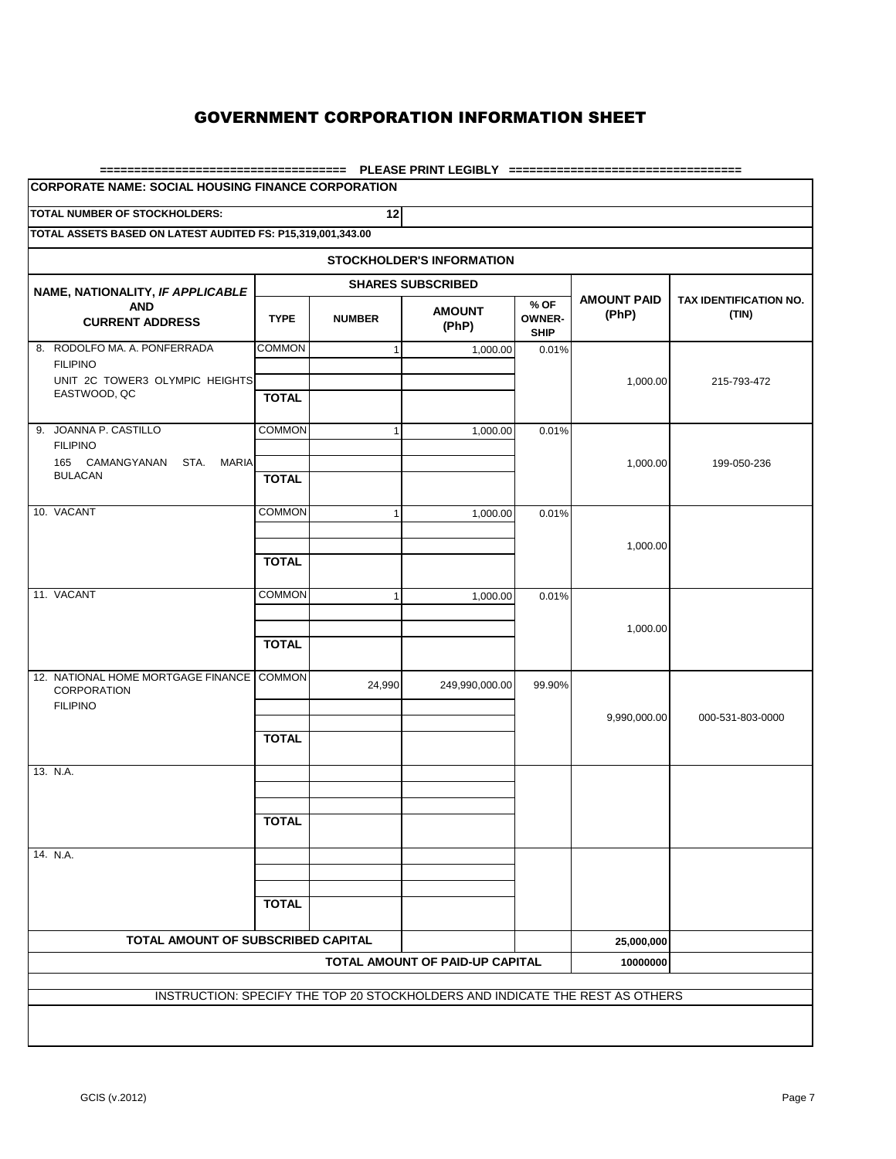| <b>TOTAL NUMBER OF STOCKHOLDERS:</b>                                              |               | 12                       |                                                                              |                                      |                             |                                 |
|-----------------------------------------------------------------------------------|---------------|--------------------------|------------------------------------------------------------------------------|--------------------------------------|-----------------------------|---------------------------------|
| TOTAL ASSETS BASED ON LATEST AUDITED FS: P15,319,001,343.00                       |               |                          |                                                                              |                                      |                             |                                 |
|                                                                                   |               |                          | <b>STOCKHOLDER'S INFORMATION</b>                                             |                                      |                             |                                 |
| NAME, NATIONALITY, IF APPLICABLE                                                  |               | <b>SHARES SUBSCRIBED</b> |                                                                              |                                      |                             |                                 |
| <b>AND</b><br><b>CURRENT ADDRESS</b>                                              | <b>TYPE</b>   | <b>NUMBER</b>            | <b>AMOUNT</b><br>(PhP)                                                       | % OF<br><b>OWNER-</b><br><b>SHIP</b> | <b>AMOUNT PAID</b><br>(PhP) | TAX IDENTIFICATION NO.<br>(TIN) |
| 8. RODOLFO MA. A. PONFERRADA<br><b>FILIPINO</b><br>UNIT 2C TOWER3 OLYMPIC HEIGHTS | <b>COMMON</b> | $\mathbf{1}$             | 1,000.00                                                                     | 0.01%                                | 1,000.00                    | 215-793-472                     |
| EASTWOOD, QC                                                                      | <b>TOTAL</b>  |                          |                                                                              |                                      |                             |                                 |
| 9. JOANNA P. CASTILLO<br><b>FILIPINO</b><br>165 CAMANGYANAN STA.<br><b>MARIA</b>  | <b>COMMON</b> | $\mathbf{1}$             | 1,000.00                                                                     | 0.01%                                | 1,000.00                    | 199-050-236                     |
| <b>BULACAN</b>                                                                    | <b>TOTAL</b>  |                          |                                                                              |                                      |                             |                                 |
| 10. VACANT                                                                        | <b>COMMON</b> | $\mathbf{1}$             | 1,000.00                                                                     | 0.01%                                | 1,000.00                    |                                 |
|                                                                                   | <b>TOTAL</b>  |                          |                                                                              |                                      |                             |                                 |
| 11. VACANT                                                                        | <b>COMMON</b> | 1                        | 1,000.00                                                                     | 0.01%                                | 1,000.00                    |                                 |
|                                                                                   | <b>TOTAL</b>  |                          |                                                                              |                                      |                             |                                 |
| 12. NATIONAL HOME MORTGAGE FINANCE COMMON<br>CORPORATION<br><b>FILIPINO</b>       |               | 24,990                   | 249,990,000.00                                                               | 99.90%                               | 9,990,000.00                | 000-531-803-0000                |
|                                                                                   | <b>TOTAL</b>  |                          |                                                                              |                                      |                             |                                 |
| 13. N.A.                                                                          |               |                          |                                                                              |                                      |                             |                                 |
|                                                                                   | <b>TOTAL</b>  |                          |                                                                              |                                      |                             |                                 |
| 14. N.A.                                                                          |               |                          |                                                                              |                                      |                             |                                 |
|                                                                                   | <b>TOTAL</b>  |                          |                                                                              |                                      |                             |                                 |
| TOTAL AMOUNT OF SUBSCRIBED CAPITAL                                                |               |                          |                                                                              |                                      | 25,000,000                  |                                 |
|                                                                                   |               |                          | TOTAL AMOUNT OF PAID-UP CAPITAL                                              |                                      | 10000000                    |                                 |
|                                                                                   |               |                          | INSTRUCTION: SPECIFY THE TOP 20 STOCKHOLDERS AND INDICATE THE REST AS OTHERS |                                      |                             |                                 |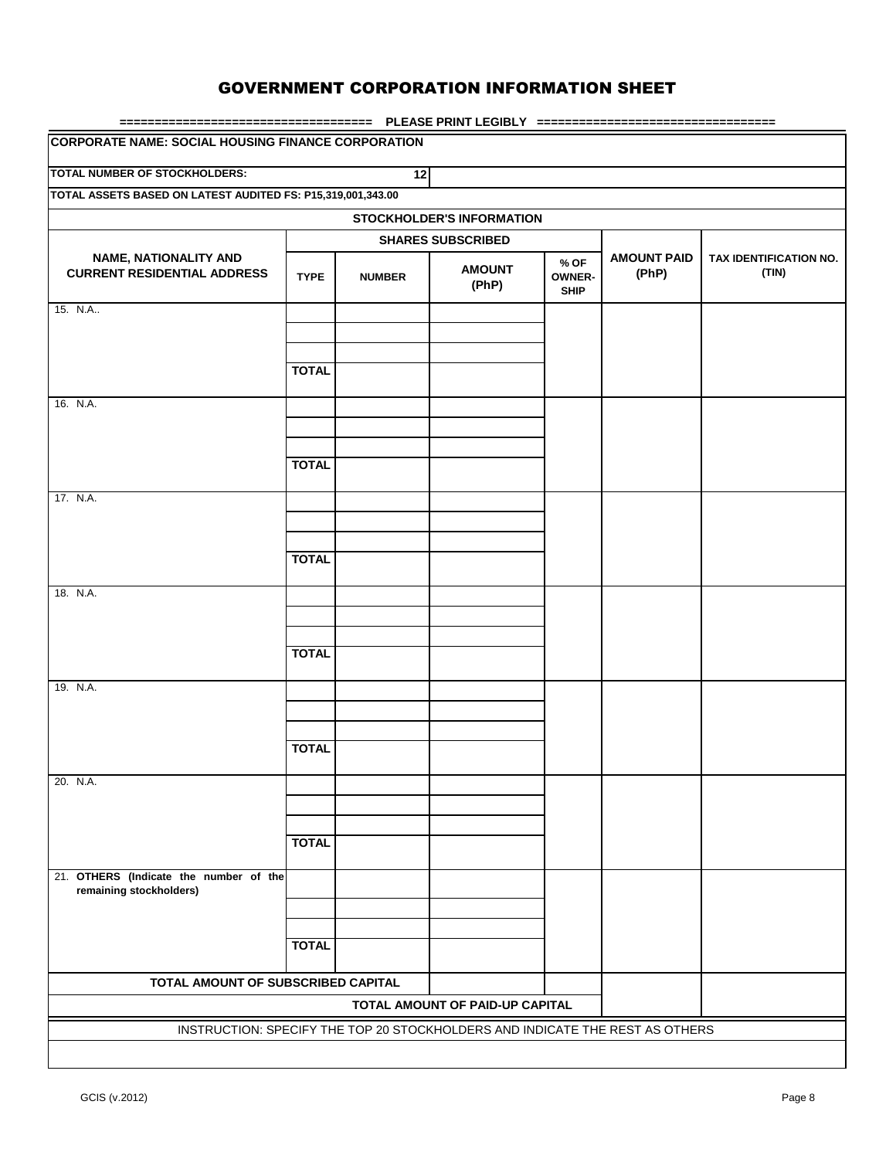| <b>CORPORATE NAME: SOCIAL HOUSING FINANCE CORPORATION</b>                    |              |               |                                  |                                      |                             |                                 |  |  |
|------------------------------------------------------------------------------|--------------|---------------|----------------------------------|--------------------------------------|-----------------------------|---------------------------------|--|--|
| TOTAL NUMBER OF STOCKHOLDERS:                                                |              | 12            |                                  |                                      |                             |                                 |  |  |
| TOTAL ASSETS BASED ON LATEST AUDITED FS: P15,319,001,343.00                  |              |               |                                  |                                      |                             |                                 |  |  |
|                                                                              |              |               | <b>STOCKHOLDER'S INFORMATION</b> |                                      |                             |                                 |  |  |
|                                                                              |              |               | <b>SHARES SUBSCRIBED</b>         |                                      |                             |                                 |  |  |
| NAME, NATIONALITY AND<br><b>CURRENT RESIDENTIAL ADDRESS</b>                  | <b>TYPE</b>  | <b>NUMBER</b> | <b>AMOUNT</b><br>(PhP)           | % OF<br><b>OWNER-</b><br><b>SHIP</b> | <b>AMOUNT PAID</b><br>(PhP) | TAX IDENTIFICATION NO.<br>(TIN) |  |  |
| 15. N.A                                                                      |              |               |                                  |                                      |                             |                                 |  |  |
|                                                                              |              |               |                                  |                                      |                             |                                 |  |  |
|                                                                              | <b>TOTAL</b> |               |                                  |                                      |                             |                                 |  |  |
| 16. N.A.                                                                     |              |               |                                  |                                      |                             |                                 |  |  |
|                                                                              |              |               |                                  |                                      |                             |                                 |  |  |
|                                                                              |              |               |                                  |                                      |                             |                                 |  |  |
|                                                                              | <b>TOTAL</b> |               |                                  |                                      |                             |                                 |  |  |
| 17. N.A.                                                                     |              |               |                                  |                                      |                             |                                 |  |  |
|                                                                              |              |               |                                  |                                      |                             |                                 |  |  |
|                                                                              |              |               |                                  |                                      |                             |                                 |  |  |
|                                                                              | <b>TOTAL</b> |               |                                  |                                      |                             |                                 |  |  |
| 18. N.A.                                                                     |              |               |                                  |                                      |                             |                                 |  |  |
|                                                                              |              |               |                                  |                                      |                             |                                 |  |  |
|                                                                              |              |               |                                  |                                      |                             |                                 |  |  |
|                                                                              | <b>TOTAL</b> |               |                                  |                                      |                             |                                 |  |  |
|                                                                              |              |               |                                  |                                      |                             |                                 |  |  |
| 19. N.A.                                                                     |              |               |                                  |                                      |                             |                                 |  |  |
|                                                                              |              |               |                                  |                                      |                             |                                 |  |  |
|                                                                              |              |               |                                  |                                      |                             |                                 |  |  |
|                                                                              | <b>TOTAL</b> |               |                                  |                                      |                             |                                 |  |  |
| 20. N.A.                                                                     |              |               |                                  |                                      |                             |                                 |  |  |
|                                                                              |              |               |                                  |                                      |                             |                                 |  |  |
|                                                                              |              |               |                                  |                                      |                             |                                 |  |  |
|                                                                              | <b>TOTAL</b> |               |                                  |                                      |                             |                                 |  |  |
| 21. OTHERS (Indicate the number of the                                       |              |               |                                  |                                      |                             |                                 |  |  |
| remaining stockholders)                                                      |              |               |                                  |                                      |                             |                                 |  |  |
|                                                                              |              |               |                                  |                                      |                             |                                 |  |  |
|                                                                              |              |               |                                  |                                      |                             |                                 |  |  |
|                                                                              | <b>TOTAL</b> |               |                                  |                                      |                             |                                 |  |  |
| TOTAL AMOUNT OF SUBSCRIBED CAPITAL                                           |              |               |                                  |                                      |                             |                                 |  |  |
|                                                                              |              |               | TOTAL AMOUNT OF PAID-UP CAPITAL  |                                      |                             |                                 |  |  |
| INSTRUCTION: SPECIFY THE TOP 20 STOCKHOLDERS AND INDICATE THE REST AS OTHERS |              |               |                                  |                                      |                             |                                 |  |  |
|                                                                              |              |               |                                  |                                      |                             |                                 |  |  |
|                                                                              |              |               |                                  |                                      |                             |                                 |  |  |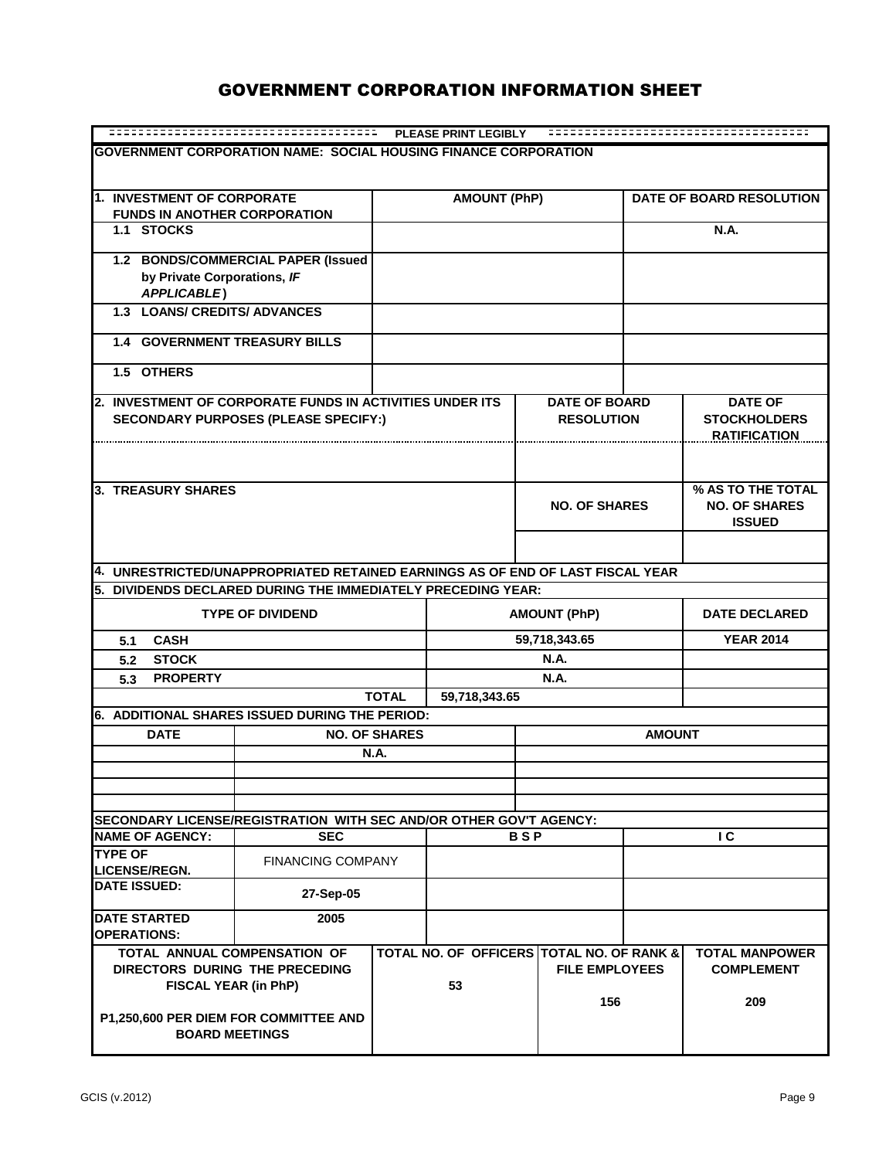| ======================================<br><b>PLEASE PRINT LEGIBLY</b>          |                                             |                               |                                           |                      |                                           |                   |                                                              |  |  |
|--------------------------------------------------------------------------------|---------------------------------------------|-------------------------------|-------------------------------------------|----------------------|-------------------------------------------|-------------------|--------------------------------------------------------------|--|--|
| <b>GOVERNMENT CORPORATION NAME: SOCIAL HOUSING FINANCE CORPORATION</b>         |                                             |                               |                                           |                      |                                           |                   |                                                              |  |  |
| 1. INVESTMENT OF CORPORATE                                                     |                                             |                               | <b>AMOUNT (PhP)</b>                       |                      |                                           |                   | DATE OF BOARD RESOLUTION                                     |  |  |
| <b>FUNDS IN ANOTHER CORPORATION</b>                                            |                                             |                               |                                           |                      |                                           |                   |                                                              |  |  |
| 1.1 STOCKS                                                                     |                                             |                               |                                           |                      |                                           |                   | <b>N.A.</b>                                                  |  |  |
|                                                                                | 1.2 BONDS/COMMERCIAL PAPER (Issued          |                               |                                           |                      |                                           |                   |                                                              |  |  |
| by Private Corporations, IF<br><b>APPLICABLE)</b>                              |                                             |                               |                                           |                      |                                           |                   |                                                              |  |  |
| 1.3 LOANS/ CREDITS/ ADVANCES                                                   |                                             |                               |                                           |                      |                                           |                   |                                                              |  |  |
|                                                                                |                                             |                               |                                           |                      |                                           |                   |                                                              |  |  |
| <b>1.4 GOVERNMENT TREASURY BILLS</b>                                           |                                             |                               |                                           |                      |                                           |                   |                                                              |  |  |
| 1.5 OTHERS                                                                     |                                             |                               |                                           |                      |                                           |                   |                                                              |  |  |
| 2. INVESTMENT OF CORPORATE FUNDS IN ACTIVITIES UNDER ITS                       | <b>SECONDARY PURPOSES (PLEASE SPECIFY:)</b> |                               |                                           |                      | <b>DATE OF BOARD</b><br><b>RESOLUTION</b> |                   | <b>DATE OF</b><br><b>STOCKHOLDERS</b><br><b>RATIFICATION</b> |  |  |
|                                                                                |                                             |                               |                                           |                      |                                           |                   |                                                              |  |  |
| 3. TREASURY SHARES                                                             |                                             |                               |                                           |                      |                                           |                   | % AS TO THE TOTAL                                            |  |  |
|                                                                                |                                             |                               |                                           | <b>NO. OF SHARES</b> |                                           |                   | <b>NO. OF SHARES</b><br><b>ISSUED</b>                        |  |  |
|                                                                                |                                             |                               |                                           |                      |                                           |                   |                                                              |  |  |
| 4. UNRESTRICTED/UNAPPROPRIATED RETAINED EARNINGS AS OF END OF LAST FISCAL YEAR |                                             |                               |                                           |                      |                                           |                   |                                                              |  |  |
| 5. DIVIDENDS DECLARED DURING THE IMMEDIATELY PRECEDING YEAR:                   |                                             |                               |                                           |                      |                                           |                   |                                                              |  |  |
|                                                                                | <b>TYPE OF DIVIDEND</b>                     |                               |                                           |                      | <b>AMOUNT (PhP)</b>                       |                   | <b>DATE DECLARED</b>                                         |  |  |
| <b>CASH</b><br>5.1                                                             |                                             |                               | 59,718,343.65                             |                      |                                           |                   | <b>YEAR 2014</b>                                             |  |  |
| <b>STOCK</b><br>5.2                                                            |                                             |                               | <b>N.A.</b>                               |                      |                                           |                   |                                                              |  |  |
| <b>PROPERTY</b><br>5.3                                                         |                                             | <b>N.A.</b>                   |                                           |                      |                                           |                   |                                                              |  |  |
|                                                                                |                                             | <b>TOTAL</b><br>59,718,343.65 |                                           |                      |                                           |                   |                                                              |  |  |
| 6. ADDITIONAL SHARES ISSUED DURING THE PERIOD:                                 |                                             |                               |                                           |                      |                                           |                   |                                                              |  |  |
| <b>DATE</b>                                                                    |                                             | <b>NO. OF SHARES</b>          |                                           |                      |                                           | <b>AMOUNT</b>     |                                                              |  |  |
|                                                                                |                                             | N.A.                          |                                           |                      |                                           |                   |                                                              |  |  |
|                                                                                |                                             |                               |                                           |                      |                                           |                   |                                                              |  |  |
|                                                                                |                                             |                               |                                           |                      |                                           |                   |                                                              |  |  |
| SECONDARY LICENSE/REGISTRATION WITH SEC AND/OR OTHER GOV'T AGENCY:             |                                             |                               |                                           |                      |                                           |                   |                                                              |  |  |
| <b>NAME OF AGENCY:</b><br><b>TYPE OF</b>                                       | <b>SEC</b>                                  |                               |                                           | <b>BSP</b>           |                                           |                   | $\overline{C}$                                               |  |  |
| <b>LICENSE/REGN.</b>                                                           | <b>FINANCING COMPANY</b>                    |                               |                                           |                      |                                           |                   |                                                              |  |  |
| <b>DATE ISSUED:</b>                                                            | 27-Sep-05                                   |                               |                                           |                      |                                           |                   |                                                              |  |  |
| 2005<br><b>DATE STARTED</b><br><b>OPERATIONS:</b>                              |                                             |                               |                                           |                      |                                           |                   |                                                              |  |  |
| TOTAL ANNUAL COMPENSATION OF                                                   |                                             |                               | TOTAL NO. OF OFFICERS TOTAL NO. OF RANK & |                      |                                           |                   | <b>TOTAL MANPOWER</b>                                        |  |  |
| DIRECTORS DURING THE PRECEDING<br><b>FISCAL YEAR (in PhP)</b>                  |                                             | 53                            | <b>FILE EMPLOYEES</b>                     |                      |                                           | <b>COMPLEMENT</b> |                                                              |  |  |
| P1,250,600 PER DIEM FOR COMMITTEE AND<br><b>BOARD MEETINGS</b>                 |                                             |                               |                                           | 156                  |                                           | 209               |                                                              |  |  |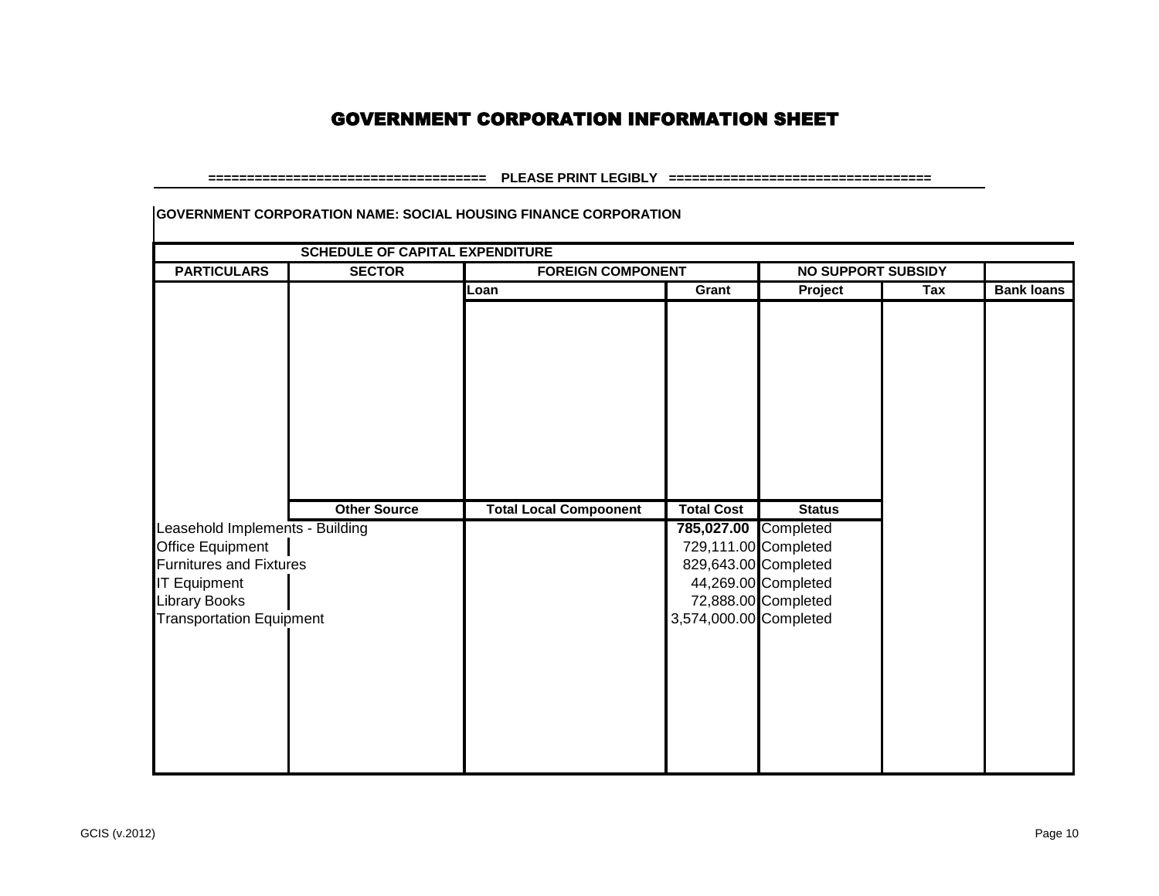#### **==================================== PLEASE PRINT LEGIBLY ==================================**

|                                 |                     | <b>SCHEDULE OF CAPITAL EXPENDITURE</b><br><b>NO SUPPORT SUBSIDY</b> |                        |                      |     |                   |
|---------------------------------|---------------------|---------------------------------------------------------------------|------------------------|----------------------|-----|-------------------|
| <b>PARTICULARS</b>              | <b>SECTOR</b>       | <b>FOREIGN COMPONENT</b>                                            |                        |                      |     |                   |
|                                 |                     | Loan                                                                | Grant                  | Project              | Tax | <b>Bank loans</b> |
|                                 |                     |                                                                     |                        |                      |     |                   |
|                                 |                     |                                                                     |                        |                      |     |                   |
|                                 |                     |                                                                     |                        |                      |     |                   |
|                                 |                     |                                                                     |                        |                      |     |                   |
|                                 |                     |                                                                     |                        |                      |     |                   |
|                                 |                     |                                                                     |                        |                      |     |                   |
|                                 |                     |                                                                     |                        |                      |     |                   |
|                                 |                     |                                                                     |                        |                      |     |                   |
|                                 |                     |                                                                     |                        |                      |     |                   |
|                                 |                     |                                                                     |                        |                      |     |                   |
|                                 |                     |                                                                     |                        |                      |     |                   |
|                                 | <b>Other Source</b> | <b>Total Local Compoonent</b>                                       | <b>Total Cost</b>      | <b>Status</b>        |     |                   |
| Leasehold Implements - Building |                     |                                                                     | 785,027.00 Completed   |                      |     |                   |
| <b>Office Equipment</b>         |                     |                                                                     |                        | 729,111.00 Completed |     |                   |
| <b>Furnitures and Fixtures</b>  |                     |                                                                     |                        | 829,643.00 Completed |     |                   |
| <b>IT Equipment</b>             |                     |                                                                     |                        | 44,269.00 Completed  |     |                   |
| Library Books                   |                     |                                                                     |                        | 72,888.00 Completed  |     |                   |
| <b>Transportation Equipment</b> |                     |                                                                     | 3,574,000.00 Completed |                      |     |                   |
|                                 |                     |                                                                     |                        |                      |     |                   |
|                                 |                     |                                                                     |                        |                      |     |                   |
|                                 |                     |                                                                     |                        |                      |     |                   |
|                                 |                     |                                                                     |                        |                      |     |                   |
|                                 |                     |                                                                     |                        |                      |     |                   |
|                                 |                     |                                                                     |                        |                      |     |                   |
|                                 |                     |                                                                     |                        |                      |     |                   |
|                                 |                     |                                                                     |                        |                      |     |                   |

**GOVERNMENT CORPORATION NAME: SOCIAL HOUSING FINANCE CORPORATION**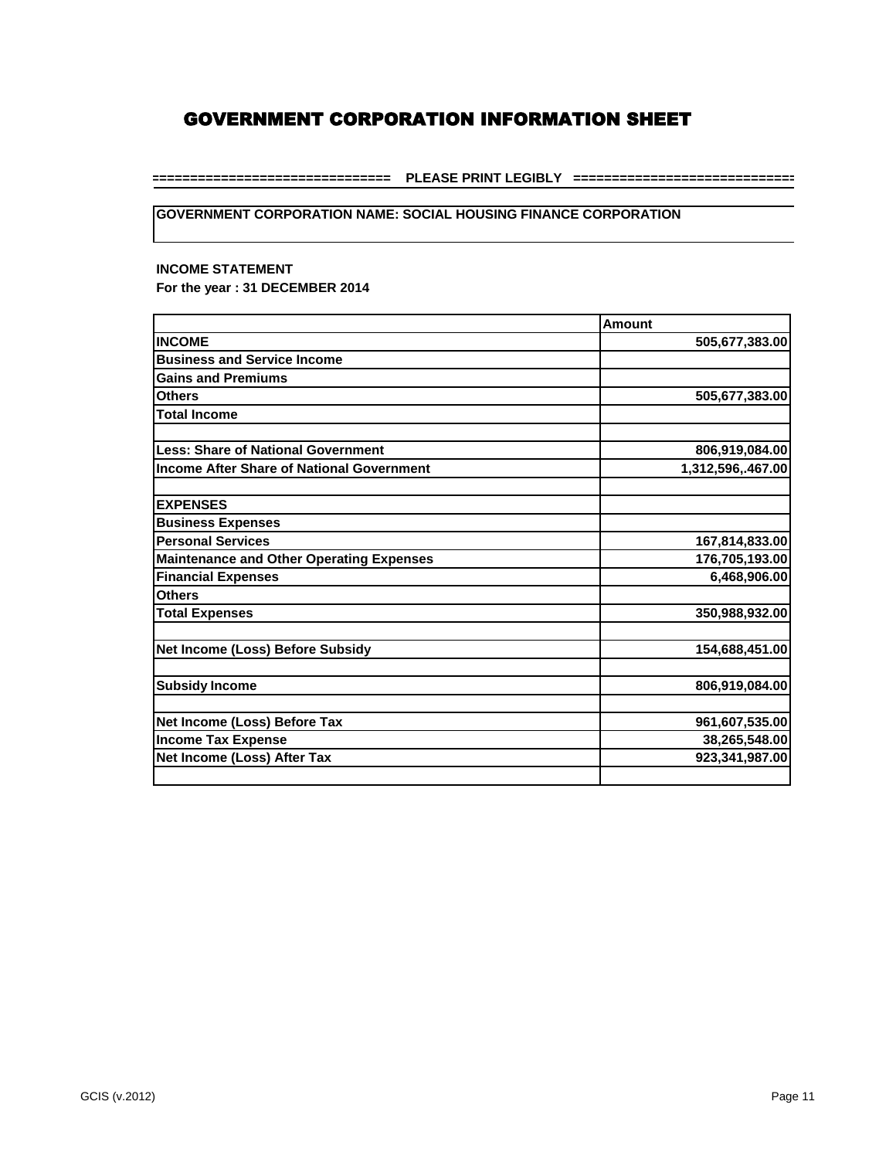**==================================== PLEASE PRINT LEGIBLY ==================================**

### **GOVERNMENT CORPORATION NAME: SOCIAL HOUSING FINANCE CORPORATION**

### **INCOME STATEMENT**

**For the year : 31 DECEMBER 2014**

|                                                  | <b>Amount</b>     |
|--------------------------------------------------|-------------------|
| <b>INCOME</b>                                    | 505,677,383.00    |
| <b>Business and Service Income</b>               |                   |
| <b>Gains and Premiums</b>                        |                   |
| <b>Others</b>                                    | 505,677,383.00    |
| <b>Total Income</b>                              |                   |
|                                                  |                   |
| <b>Less: Share of National Government</b>        | 806,919,084.00    |
| <b>Income After Share of National Government</b> | 1,312,596,.467.00 |
| <b>EXPENSES</b>                                  |                   |
| <b>Business Expenses</b>                         |                   |
| <b>Personal Services</b>                         | 167,814,833.00    |
| <b>Maintenance and Other Operating Expenses</b>  | 176,705,193.00    |
| <b>Financial Expenses</b>                        | 6,468,906.00      |
| <b>Others</b>                                    |                   |
| <b>Total Expenses</b>                            | 350,988,932.00    |
| Net Income (Loss) Before Subsidy                 | 154,688,451.00    |
| <b>Subsidy Income</b>                            | 806,919,084.00    |
| Net Income (Loss) Before Tax                     | 961,607,535.00    |
| <b>Income Tax Expense</b>                        | 38,265,548.00     |
| Net Income (Loss) After Tax                      | 923.341.987.00    |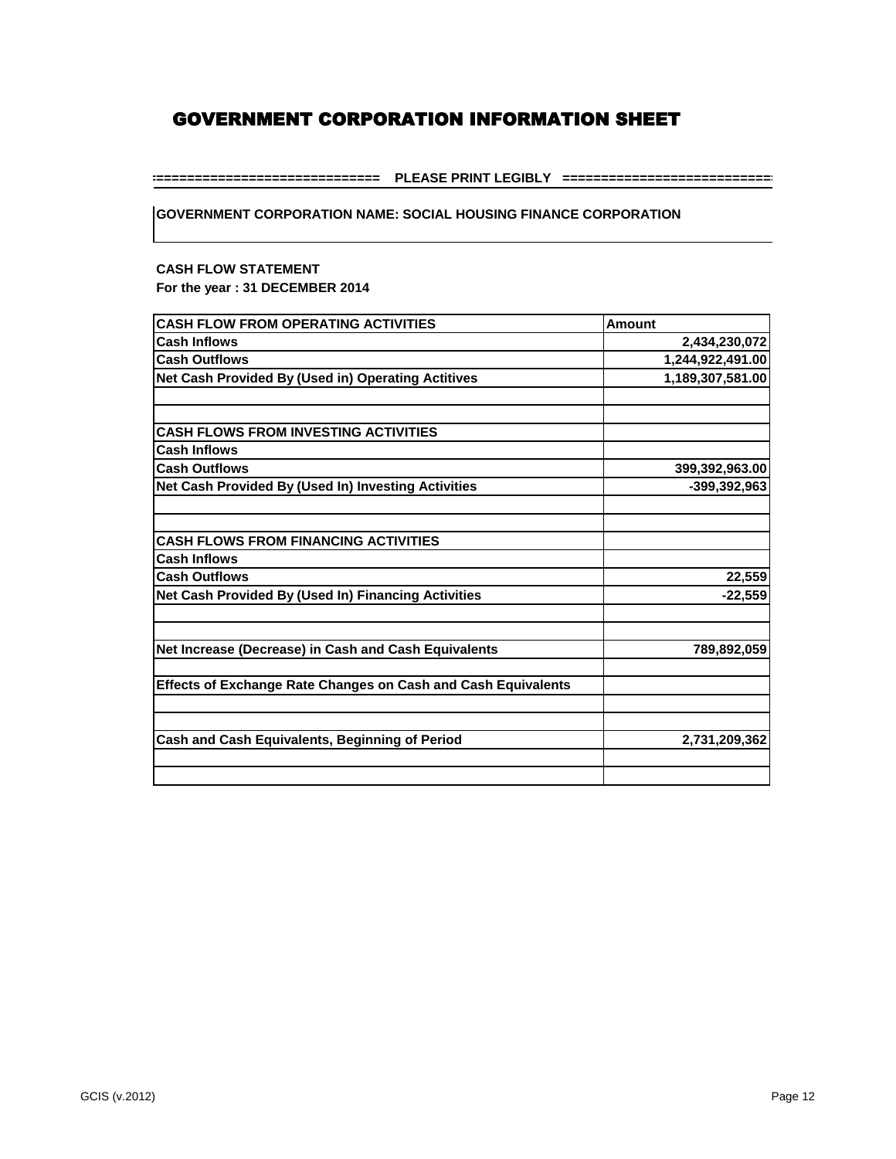**==================================== PLEASE PRINT LEGIBLY ==================================**

### **GOVERNMENT CORPORATION NAME: SOCIAL HOUSING FINANCE CORPORATION**

## **CASH FLOW STATEMENT**

**For the year : 31 DECEMBER 2014**

| <b>CASH FLOW FROM OPERATING ACTIVITIES</b>                    | <b>Amount</b>    |
|---------------------------------------------------------------|------------------|
| <b>Cash Inflows</b>                                           | 2,434,230,072    |
| <b>Cash Outflows</b>                                          | 1,244,922,491.00 |
| Net Cash Provided By (Used in) Operating Actitives            | 1,189,307,581.00 |
|                                                               |                  |
| <b>CASH FLOWS FROM INVESTING ACTIVITIES</b>                   |                  |
| <b>Cash Inflows</b>                                           |                  |
| <b>Cash Outflows</b>                                          | 399,392,963.00   |
| Net Cash Provided By (Used In) Investing Activities           | $-399,392,963$   |
| <b>CASH FLOWS FROM FINANCING ACTIVITIES</b>                   |                  |
| <b>Cash Inflows</b>                                           |                  |
| <b>Cash Outflows</b>                                          | 22,559           |
| Net Cash Provided By (Used In) Financing Activities           | $-22,559$        |
|                                                               |                  |
| Net Increase (Decrease) in Cash and Cash Equivalents          | 789,892,059      |
| Effects of Exchange Rate Changes on Cash and Cash Equivalents |                  |
| Cash and Cash Equivalents, Beginning of Period                | 2,731,209,362    |
|                                                               |                  |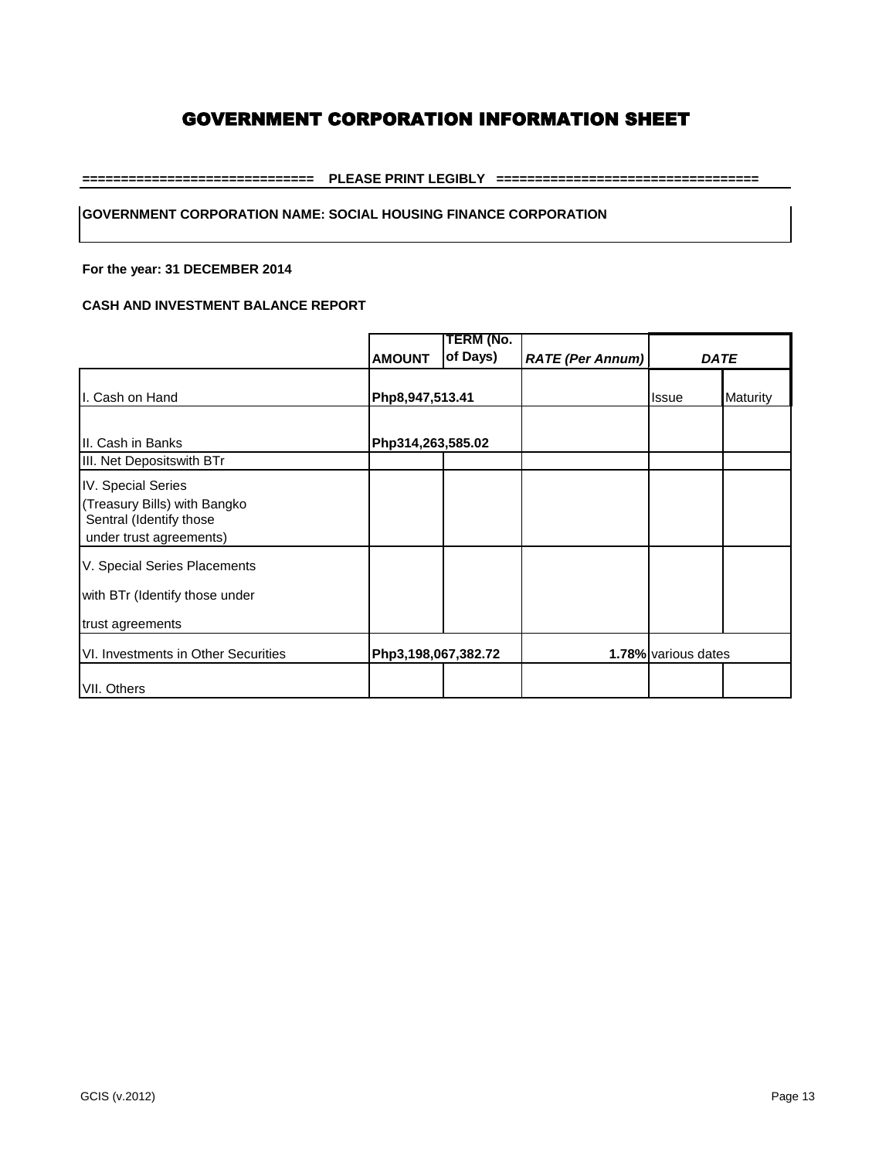**============================== PLEASE PRINT LEGIBLY ==================================**

### **GOVERNMENT CORPORATION NAME: SOCIAL HOUSING FINANCE CORPORATION**

#### **For the year: 31 DECEMBER 2014**

#### **CASH AND INVESTMENT BALANCE REPORT**

|                                                                                                          |                     | TERM (No. |                         |                     |          |
|----------------------------------------------------------------------------------------------------------|---------------------|-----------|-------------------------|---------------------|----------|
|                                                                                                          | <b>AMOUNT</b>       | of Days)  | <b>RATE (Per Annum)</b> | <b>DATE</b>         |          |
| I. Cash on Hand                                                                                          | Php8,947,513.41     |           |                         | <b>Issue</b>        | Maturity |
| III. Cash in Banks<br>III. Net Depositswith BTr                                                          | Php314,263,585.02   |           |                         |                     |          |
|                                                                                                          |                     |           |                         |                     |          |
| IV. Special Series<br>(Treasury Bills) with Bangko<br>Sentral (Identify those<br>under trust agreements) |                     |           |                         |                     |          |
| V. Special Series Placements                                                                             |                     |           |                         |                     |          |
| with BTr (Identify those under                                                                           |                     |           |                         |                     |          |
| trust agreements                                                                                         |                     |           |                         |                     |          |
| VI. Investments in Other Securities                                                                      | Php3,198,067,382.72 |           |                         | 1.78% various dates |          |
| VII. Others                                                                                              |                     |           |                         |                     |          |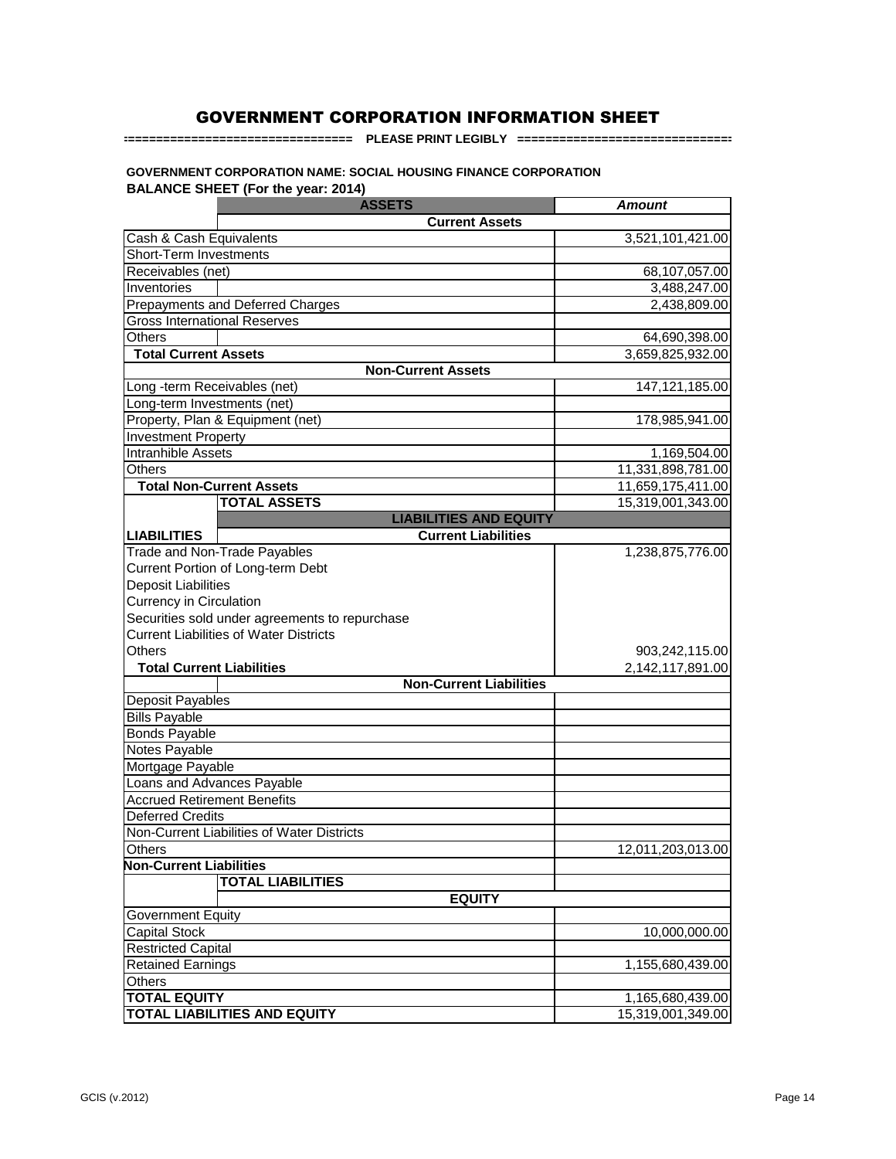**==================================== PLEASE PRINT LEGIBLY ==================================**

#### **GOVERNMENT CORPORATION NAME: SOCIAL HOUSING FINANCE CORPORATION BALANCE SHEET (For the year: 2014)**

**ASSETS** *Amount* Cash & Cash Equivalents 3,521,101,421.00 Short-Term Investments Receivables (net) 68,107,057.00 Inventories 3,488,247.00 Prepayments and Deferred Charges 2,438,809.00 Gross International Reserves Others 64,690,398.00 **Total Current Assets** 3,659,825,932.00 147,121,185.00 178,985,941.00 1,169,504.00 11,331,898,781.00  **Total Non-Current Assets** 11,659,175,411.00 **TOTAL ASSETS** 15,319,001,343.00 **LIABILITIES** Trade and Non-Trade Payables 1,238,875,776.00 Current Portion of Long-term Debt Deposit Liabilities Currency in Circulation Securities sold under agreements to repurchase Current Liabilities of Water Districts Others 903,242,115.00  **Total Current Liabilities** 2,142,117,891.00 Non-Current Liabilities of Water Districts 12,011,203,013.00 **Non-Current Liabilities TOTAL LIABILITIES** 10,000,000.00 Restricted Capital 1,155,680,439.00 **TOTAL EQUITY** 1,165,680,439.00 **TOTAL LIABILITIES AND EQUITY** 15,319,001,349.00 **Current Assets** Capital Stock Government Equity Retained Earnings **Others Current Liabilities Non-Current Liabilities** Deferred Credits **Others** Deposit Payables Bills Payable **EQUITY** Bonds Payable **Non-Current Assets** Accrued Retirement Benefits Loans and Advances Payable Notes Payable Mortgage Payable Investment Property Property, Plan & Equipment (net) Long-term Investments (net) Long -term Receivables (net) **LIABILITIES AND EQUITY Others** Intranhible Assets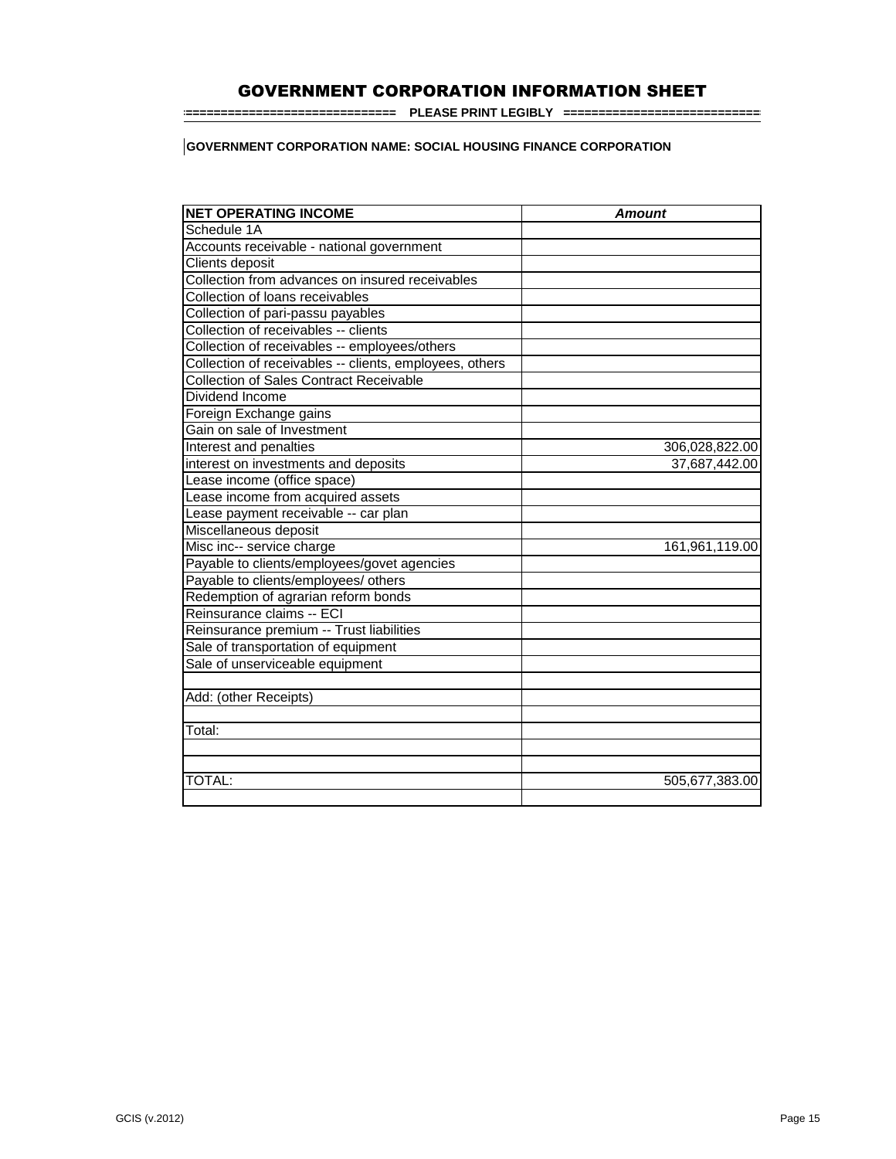**==================================== PLEASE PRINT LEGIBLY ==================================**

**GOVERNMENT CORPORATION NAME: SOCIAL HOUSING FINANCE CORPORATION**

| <b>NET OPERATING INCOME</b>                             | <b>Amount</b>  |
|---------------------------------------------------------|----------------|
| Schedule 1A                                             |                |
| Accounts receivable - national government               |                |
| <b>Clients deposit</b>                                  |                |
| Collection from advances on insured receivables         |                |
| Collection of loans receivables                         |                |
| Collection of pari-passu payables                       |                |
| Collection of receivables -- clients                    |                |
| Collection of receivables -- employees/others           |                |
| Collection of receivables -- clients, employees, others |                |
| <b>Collection of Sales Contract Receivable</b>          |                |
| Dividend Income                                         |                |
| Foreign Exchange gains                                  |                |
| Gain on sale of Investment                              |                |
| Interest and penalties                                  | 306,028,822.00 |
| interest on investments and deposits                    | 37,687,442.00  |
| Lease income (office space)                             |                |
| Lease income from acquired assets                       |                |
| Lease payment receivable -- car plan                    |                |
| Miscellaneous deposit                                   |                |
| Misc inc-- service charge                               | 161,961,119.00 |
| Payable to clients/employees/govet agencies             |                |
| Payable to clients/employees/ others                    |                |
| Redemption of agrarian reform bonds                     |                |
| Reinsurance claims -- ECI                               |                |
| Reinsurance premium -- Trust liabilities                |                |
| Sale of transportation of equipment                     |                |
| Sale of unserviceable equipment                         |                |
|                                                         |                |
| Add: (other Receipts)                                   |                |
|                                                         |                |
| Total:                                                  |                |
|                                                         |                |
|                                                         |                |
| <b>TOTAL:</b>                                           | 505,677,383.00 |
|                                                         |                |